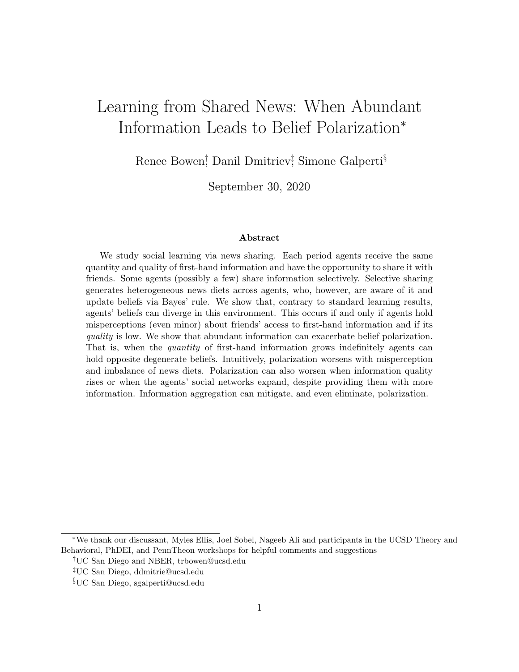# Learning from Shared News: When Abundant Information Leads to Belief Polarization<sup>∗</sup>

Renee Bowen<sup>†</sup>, Danil Dmitriev<sup>†</sup>, Simone Galperti<sup>§</sup>

September 30, 2020

#### Abstract

We study social learning via news sharing. Each period agents receive the same quantity and quality of first-hand information and have the opportunity to share it with friends. Some agents (possibly a few) share information selectively. Selective sharing generates heterogeneous news diets across agents, who, however, are aware of it and update beliefs via Bayes' rule. We show that, contrary to standard learning results, agents' beliefs can diverge in this environment. This occurs if and only if agents hold misperceptions (even minor) about friends' access to first-hand information and if its quality is low. We show that abundant information can exacerbate belief polarization. That is, when the quantity of first-hand information grows indefinitely agents can hold opposite degenerate beliefs. Intuitively, polarization worsens with misperception and imbalance of news diets. Polarization can also worsen when information quality rises or when the agents' social networks expand, despite providing them with more information. Information aggregation can mitigate, and even eliminate, polarization.

<sup>∗</sup>We thank our discussant, Myles Ellis, Joel Sobel, Nageeb Ali and participants in the UCSD Theory and Behavioral, PhDEI, and PennTheon workshops for helpful comments and suggestions

<sup>†</sup>UC San Diego and NBER, trbowen@ucsd.edu

<sup>‡</sup>UC San Diego, ddmitrie@ucsd.edu

<sup>§</sup>UC San Diego, sgalperti@ucsd.edu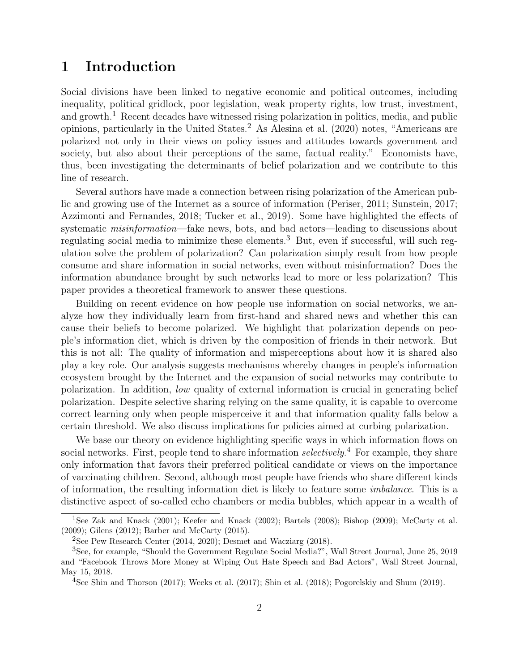### 1 Introduction

Social divisions have been linked to negative economic and political outcomes, including inequality, political gridlock, poor legislation, weak property rights, low trust, investment, and growth.<sup>[1](#page-1-0)</sup> Recent decades have witnessed rising polarization in politics, media, and public opinions, particularly in the United States.<sup>[2](#page-1-1)</sup> As [Alesina et al.](#page-18-0)  $(2020)$  notes, "Americans are polarized not only in their views on policy issues and attitudes towards government and society, but also about their perceptions of the same, factual reality." Economists have, thus, been investigating the determinants of belief polarization and we contribute to this line of research.

Several authors have made a connection between rising polarization of the American public and growing use of the Internet as a source of information [\(Periser,](#page-21-0) [2011;](#page-21-0) [Sunstein,](#page-21-1) [2017;](#page-21-1) [Azzimonti and Fernandes,](#page-19-0) [2018;](#page-19-0) [Tucker et al.,](#page-22-0) [2019\)](#page-22-0). Some have highlighted the effects of systematic *misinformation*—fake news, bots, and bad actors—leading to discussions about regulating social media to minimize these elements.<sup>[3](#page-1-2)</sup> But, even if successful, will such regulation solve the problem of polarization? Can polarization simply result from how people consume and share information in social networks, even without misinformation? Does the information abundance brought by such networks lead to more or less polarization? This paper provides a theoretical framework to answer these questions.

Building on recent evidence on how people use information on social networks, we analyze how they individually learn from first-hand and shared news and whether this can cause their beliefs to become polarized. We highlight that polarization depends on people's information diet, which is driven by the composition of friends in their network. But this is not all: The quality of information and misperceptions about how it is shared also play a key role. Our analysis suggests mechanisms whereby changes in people's information ecosystem brought by the Internet and the expansion of social networks may contribute to polarization. In addition, low quality of external information is crucial in generating belief polarization. Despite selective sharing relying on the same quality, it is capable to overcome correct learning only when people misperceive it and that information quality falls below a certain threshold. We also discuss implications for policies aimed at curbing polarization.

We base our theory on evidence highlighting specific ways in which information flows on social networks. First, people tend to share information selectively.<sup>[4](#page-1-3)</sup> For example, they share only information that favors their preferred political candidate or views on the importance of vaccinating children. Second, although most people have friends who share different kinds of information, the resulting information diet is likely to feature some imbalance. This is a distinctive aspect of so-called echo chambers or media bubbles, which appear in a wealth of

<span id="page-1-0"></span><sup>1</sup>See [Zak and Knack](#page-22-1) [\(2001\)](#page-22-1); [Keefer and Knack](#page-20-0) [\(2002\)](#page-20-0); [Bartels](#page-19-1) [\(2008\)](#page-19-1); [Bishop](#page-19-2) [\(2009\)](#page-19-2); [McCarty et al.](#page-20-1) [\(2009\)](#page-20-1); [Gilens](#page-20-2) [\(2012\)](#page-20-2); [Barber and McCarty](#page-19-3) [\(2015\)](#page-19-3).

<span id="page-1-2"></span><span id="page-1-1"></span><sup>&</sup>lt;sup>2</sup>See [Pew Research Center](#page-21-2)  $(2014, 2020)$  $(2014, 2020)$  $(2014, 2020)$ ; [Desmet and Wacziarg](#page-19-4)  $(2018)$ .

<sup>3</sup>See, for example, "Should the Government Regulate Social Media?", Wall Street Journal, June 25, 2019 and "Facebook Throws More Money at Wiping Out Hate Speech and Bad Actors", Wall Street Journal, May 15, 2018.

<span id="page-1-3"></span><sup>&</sup>lt;sup>4</sup>See [Shin and Thorson](#page-21-4) [\(2017\)](#page-22-2); [Weeks et al.](#page-22-2) (2017); [Shin et al.](#page-21-5) [\(2018\)](#page-21-5); [Pogorelskiy and Shum](#page-21-6) [\(2019\)](#page-21-6).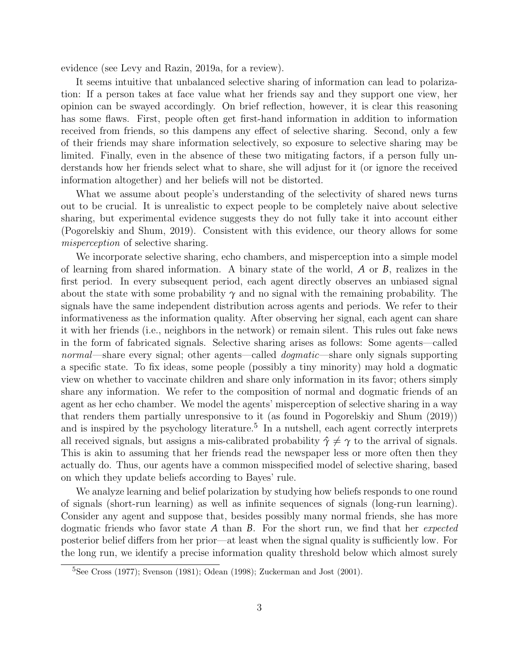evidence (see [Levy and Razin,](#page-20-3) [2019a,](#page-20-3) for a review).

It seems intuitive that unbalanced selective sharing of information can lead to polarization: If a person takes at face value what her friends say and they support one view, her opinion can be swayed accordingly. On brief reflection, however, it is clear this reasoning has some flaws. First, people often get first-hand information in addition to information received from friends, so this dampens any effect of selective sharing. Second, only a few of their friends may share information selectively, so exposure to selective sharing may be limited. Finally, even in the absence of these two mitigating factors, if a person fully understands how her friends select what to share, she will adjust for it (or ignore the received information altogether) and her beliefs will not be distorted.

What we assume about people's understanding of the selectivity of shared news turns out to be crucial. It is unrealistic to expect people to be completely naive about selective sharing, but experimental evidence suggests they do not fully take it into account either [\(Pogorelskiy and Shum,](#page-21-6) [2019\)](#page-21-6). Consistent with this evidence, our theory allows for some misperception of selective sharing.

We incorporate selective sharing, echo chambers, and misperception into a simple model of learning from shared information. A binary state of the world, *A* or *B*, realizes in the first period. In every subsequent period, each agent directly observes an unbiased signal about the state with some probability  $\gamma$  and no signal with the remaining probability. The signals have the same independent distribution across agents and periods. We refer to their informativeness as the information quality. After observing her signal, each agent can share it with her friends (i.e., neighbors in the network) or remain silent. This rules out fake news in the form of fabricated signals. Selective sharing arises as follows: Some agents—called normal—share every signal; other agents—called *dogmatic—share* only signals supporting a specific state. To fix ideas, some people (possibly a tiny minority) may hold a dogmatic view on whether to vaccinate children and share only information in its favor; others simply share any information. We refer to the composition of normal and dogmatic friends of an agent as her echo chamber. We model the agents' misperception of selective sharing in a way that renders them partially unresponsive to it (as found in [Pogorelskiy and Shum](#page-21-6) [\(2019\)](#page-21-6)) and is inspired by the psychology literature.<sup>[5](#page-2-0)</sup> In a nutshell, each agent correctly interprets all received signals, but assigns a mis-calibrated probability  $\hat{\gamma} \neq \gamma$  to the arrival of signals. This is akin to assuming that her friends read the newspaper less or more often then they actually do. Thus, our agents have a common misspecified model of selective sharing, based on which they update beliefs according to Bayes' rule.

We analyze learning and belief polarization by studying how beliefs responds to one round of signals (short-run learning) as well as infinite sequences of signals (long-run learning). Consider any agent and suppose that, besides possibly many normal friends, she has more dogmatic friends who favor state *A* than *B*. For the short run, we find that her expected posterior belief differs from her prior—at least when the signal quality is sufficiently low. For the long run, we identify a precise information quality threshold below which almost surely

<span id="page-2-0"></span> ${}^{5}$ See [Cross](#page-19-5) [\(1977\)](#page-19-5); [Svenson](#page-21-7) [\(1981\)](#page-21-7); [Odean](#page-21-8) [\(1998\)](#page-21-8); [Zuckerman and Jost](#page-22-3) [\(2001\)](#page-22-3).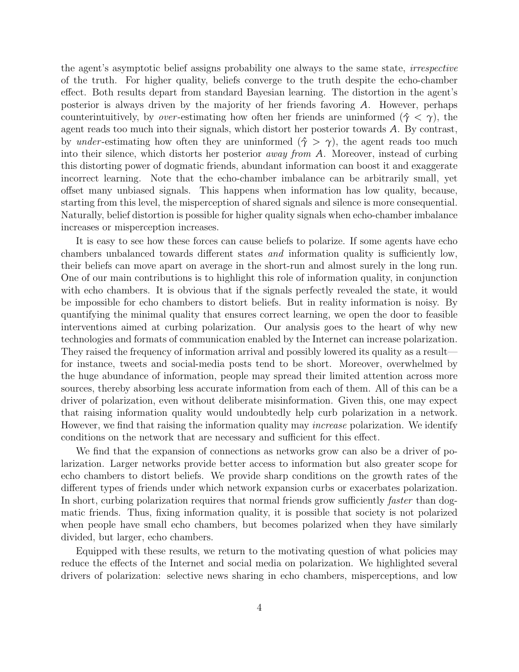the agent's asymptotic belief assigns probability one always to the same state, irrespective of the truth. For higher quality, beliefs converge to the truth despite the echo-chamber effect. Both results depart from standard Bayesian learning. The distortion in the agent's posterior is always driven by the majority of her friends favoring *A*. However, perhaps counterintuitively, by *over*-estimating how often her friends are uninformed ( $\hat{\gamma} < \gamma$ ), the agent reads too much into their signals, which distort her posterior towards *A*. By contrast, by *under*-estimating how often they are uninformed  $(\hat{\gamma} > \gamma)$ , the agent reads too much into their silence, which distorts her posterior away from *A*. Moreover, instead of curbing this distorting power of dogmatic friends, abundant information can boost it and exaggerate incorrect learning. Note that the echo-chamber imbalance can be arbitrarily small, yet offset many unbiased signals. This happens when information has low quality, because, starting from this level, the misperception of shared signals and silence is more consequential. Naturally, belief distortion is possible for higher quality signals when echo-chamber imbalance increases or misperception increases.

It is easy to see how these forces can cause beliefs to polarize. If some agents have echo chambers unbalanced towards different states and information quality is sufficiently low, their beliefs can move apart on average in the short-run and almost surely in the long run. One of our main contributions is to highlight this role of information quality, in conjunction with echo chambers. It is obvious that if the signals perfectly revealed the state, it would be impossible for echo chambers to distort beliefs. But in reality information is noisy. By quantifying the minimal quality that ensures correct learning, we open the door to feasible interventions aimed at curbing polarization. Our analysis goes to the heart of why new technologies and formats of communication enabled by the Internet can increase polarization. They raised the frequency of information arrival and possibly lowered its quality as a result for instance, tweets and social-media posts tend to be short. Moreover, overwhelmed by the huge abundance of information, people may spread their limited attention across more sources, thereby absorbing less accurate information from each of them. All of this can be a driver of polarization, even without deliberate misinformation. Given this, one may expect that raising information quality would undoubtedly help curb polarization in a network. However, we find that raising the information quality may *increase* polarization. We identify conditions on the network that are necessary and sufficient for this effect.

We find that the expansion of connections as networks grow can also be a driver of polarization. Larger networks provide better access to information but also greater scope for echo chambers to distort beliefs. We provide sharp conditions on the growth rates of the different types of friends under which network expansion curbs or exacerbates polarization. In short, curbing polarization requires that normal friends grow sufficiently *faster* than dogmatic friends. Thus, fixing information quality, it is possible that society is not polarized when people have small echo chambers, but becomes polarized when they have similarly divided, but larger, echo chambers.

Equipped with these results, we return to the motivating question of what policies may reduce the effects of the Internet and social media on polarization. We highlighted several drivers of polarization: selective news sharing in echo chambers, misperceptions, and low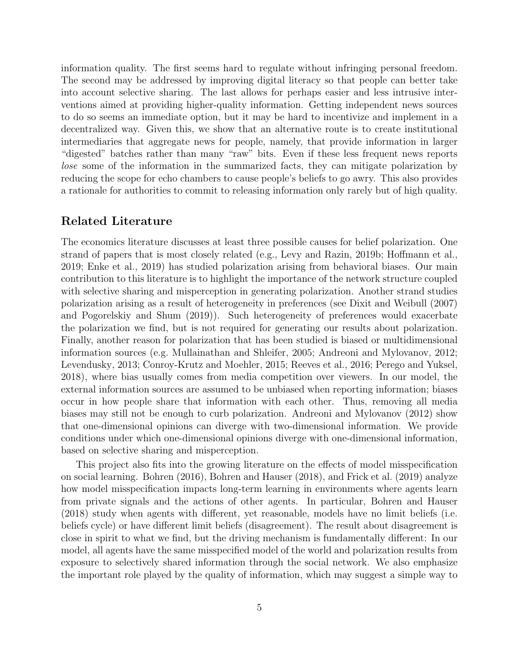information quality. The first seems hard to regulate without infringing personal freedom. The second may be addressed by improving digital literacy so that people can better take into account selective sharing. The last allows for perhaps easier and less intrusive interventions aimed at providing higher-quality information. Getting independent news sources to do so seems an immediate option, but it may be hard to incentivize and implement in a decentralized way. Given this, we show that an alternative route is to create institutional intermediaries that aggregate news for people, namely, that provide information in larger "digested" batches rather than many "raw" bits. Even if these less frequent news reports lose some of the information in the summarized facts, they can mitigate polarization by reducing the scope for echo chambers to cause people's beliefs to go awry. This also provides a rationale for authorities to commit to releasing information only rarely but of high quality.

### Related Literature

The economics literature discusses at least three possible causes for belief polarization. One strand of papers that is most closely related (e.g., [Levy and Razin,](#page-20-4) [2019b;](#page-20-4) [Hoffmann et al.,](#page-20-5) [2019;](#page-20-5) [Enke et al.,](#page-20-6) [2019\)](#page-20-6) has studied polarization arising from behavioral biases. Our main contribution to this literature is to highlight the importance of the network structure coupled with selective sharing and misperception in generating polarization. Another strand studies polarization arising as a result of heterogeneity in preferences (see [Dixit and Weibull](#page-19-6) [\(2007\)](#page-19-6) and [Pogorelskiy and Shum](#page-21-6) [\(2019\)](#page-21-6)). Such heterogeneity of preferences would exacerbate the polarization we find, but is not required for generating our results about polarization. Finally, another reason for polarization that has been studied is biased or multidimensional information sources (e.g. [Mullainathan and Shleifer,](#page-21-9) [2005;](#page-21-9) [Andreoni and Mylovanov,](#page-18-1) [2012;](#page-18-1) [Levendusky,](#page-20-7) [2013;](#page-20-7) [Conroy-Krutz and Moehler,](#page-19-7) [2015;](#page-19-7) [Reeves et al.,](#page-21-10) [2016;](#page-21-10) [Perego and Yuksel,](#page-21-11) [2018\)](#page-21-11), where bias usually comes from media competition over viewers. In our model, the external information sources are assumed to be unbiased when reporting information; biases occur in how people share that information with each other. Thus, removing all media biases may still not be enough to curb polarization. [Andreoni and Mylovanov](#page-18-1) [\(2012\)](#page-18-1) show that one-dimensional opinions can diverge with two-dimensional information. We provide conditions under which one-dimensional opinions diverge with one-dimensional information, based on selective sharing and misperception.

This project also fits into the growing literature on the effects of model misspecification on social learning. [Bohren](#page-19-8) [\(2016\)](#page-19-8), [Bohren and Hauser](#page-19-9) [\(2018\)](#page-19-9), and [Frick et al.](#page-20-8) [\(2019\)](#page-20-8) analyze how model misspecification impacts long-term learning in environments where agents learn from private signals and the actions of other agents. In particular, [Bohren and Hauser](#page-19-9) [\(2018\)](#page-19-9) study when agents with different, yet reasonable, models have no limit beliefs (i.e. beliefs cycle) or have different limit beliefs (disagreement). The result about disagreement is close in spirit to what we find, but the driving mechanism is fundamentally different: In our model, all agents have the same misspecified model of the world and polarization results from exposure to selectively shared information through the social network. We also emphasize the important role played by the quality of information, which may suggest a simple way to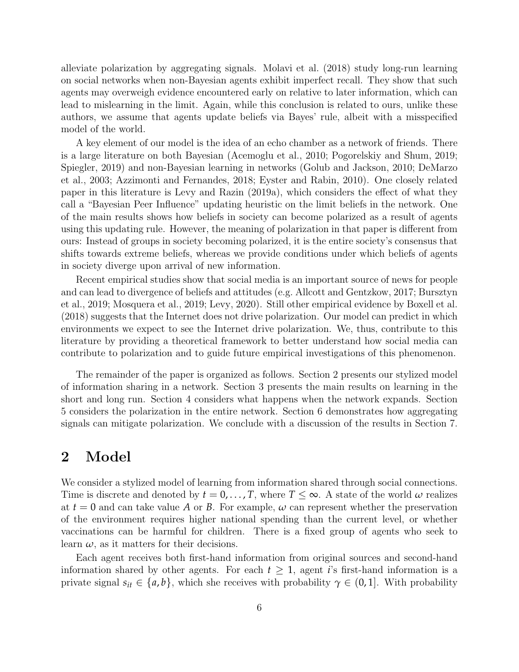alleviate polarization by aggregating signals. [Molavi et al.](#page-21-12) [\(2018\)](#page-21-12) study long-run learning on social networks when non-Bayesian agents exhibit imperfect recall. They show that such agents may overweigh evidence encountered early on relative to later information, which can lead to mislearning in the limit. Again, while this conclusion is related to ours, unlike these authors, we assume that agents update beliefs via Bayes' rule, albeit with a misspecified model of the world.

A key element of our model is the idea of an echo chamber as a network of friends. There is a large literature on both Bayesian [\(Acemoglu et al.,](#page-18-2) [2010;](#page-18-2) [Pogorelskiy and Shum,](#page-21-6) [2019;](#page-21-6) [Spiegler,](#page-21-13) [2019\)](#page-21-13) and non-Bayesian learning in networks [\(Golub and Jackson,](#page-20-9) [2010;](#page-20-9) [DeMarzo](#page-19-10) [et al.,](#page-19-10) [2003;](#page-19-10) [Azzimonti and Fernandes,](#page-19-0) [2018;](#page-19-0) [Eyster and Rabin,](#page-20-10) [2010\)](#page-20-10). One closely related paper in this literature is [Levy and Razin](#page-20-3) [\(2019a\)](#page-20-3), which considers the effect of what they call a "Bayesian Peer Influence" updating heuristic on the limit beliefs in the network. One of the main results shows how beliefs in society can become polarized as a result of agents using this updating rule. However, the meaning of polarization in that paper is different from ours: Instead of groups in society becoming polarized, it is the entire society's consensus that shifts towards extreme beliefs, whereas we provide conditions under which beliefs of agents in society diverge upon arrival of new information.

Recent empirical studies show that social media is an important source of news for people and can lead to divergence of beliefs and attitudes (e.g. [Allcott and Gentzkow,](#page-18-3) [2017;](#page-18-3) [Bursztyn](#page-19-11) [et al.,](#page-19-11) [2019;](#page-19-11) [Mosquera et al.,](#page-21-14) [2019;](#page-21-14) [Levy,](#page-20-11) [2020\)](#page-20-11). Still other empirical evidence by [Boxell et al.](#page-19-12) [\(2018\)](#page-19-12) suggests that the Internet does not drive polarization. Our model can predict in which environments we expect to see the Internet drive polarization. We, thus, contribute to this literature by providing a theoretical framework to better understand how social media can contribute to polarization and to guide future empirical investigations of this phenomenon.

The remainder of the paper is organized as follows. Section [2](#page-5-0) presents our stylized model of information sharing in a network. Section [3](#page-8-0) presents the main results on learning in the short and long run. Section [4](#page-12-0) considers what happens when the network expands. Section [5](#page-14-0) considers the polarization in the entire network. Section [6](#page-15-0) demonstrates how aggregating signals can mitigate polarization. We conclude with a discussion of the results in Section [7.](#page-17-0)

### <span id="page-5-0"></span>2 Model

We consider a stylized model of learning from information shared through social connections. Time is discrete and denoted by  $t = 0, \ldots, T$ , where  $T \leq \infty$ . A state of the world  $\omega$  realizes at  $t = 0$  and can take value A or B. For example,  $\omega$  can represent whether the preservation of the environment requires higher national spending than the current level, or whether vaccinations can be harmful for children. There is a fixed group of agents who seek to learn  $\omega$ , as it matters for their decisions.

Each agent receives both first-hand information from original sources and second-hand information shared by other agents. For each  $t \geq 1$ , agent *i*'s first-hand information is a private signal  $s_{it} \in \{a, b\}$ , which she receives with probability  $\gamma \in (0, 1]$ . With probability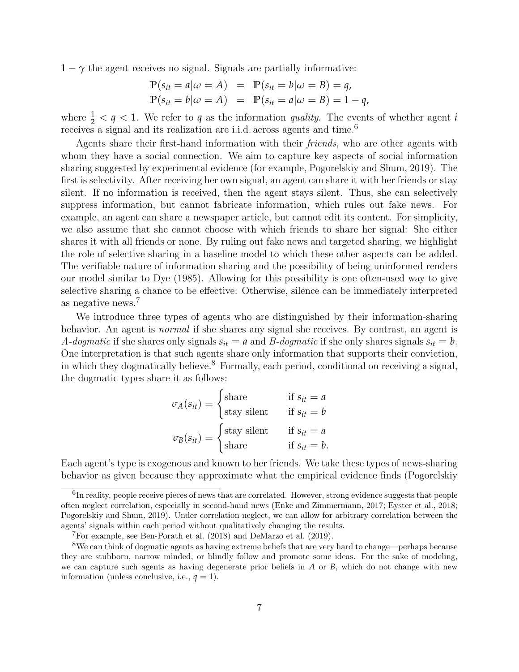$1 - \gamma$  the agent receives no signal. Signals are partially informative:

$$
\mathbb{P}(s_{it} = a | \omega = A) = \mathbb{P}(s_{it} = b | \omega = B) = q,
$$
  

$$
\mathbb{P}(s_{it} = b | \omega = A) = \mathbb{P}(s_{it} = a | \omega = B) = 1 - q,
$$

where  $\frac{1}{2} < q < 1$ . We refer to q as the information quality. The events of whether agent *i* receives a signal and its realization are i.i.d. across agents and time.[6](#page-6-0)

Agents share their first-hand information with their *friends*, who are other agents with whom they have a social connection. We aim to capture key aspects of social information sharing suggested by experimental evidence (for example, [Pogorelskiy and Shum,](#page-21-6) [2019\)](#page-21-6). The first is selectivity. After receiving her own signal, an agent can share it with her friends or stay silent. If no information is received, then the agent stays silent. Thus, she can selectively suppress information, but cannot fabricate information, which rules out fake news. For example, an agent can share a newspaper article, but cannot edit its content. For simplicity, we also assume that she cannot choose with which friends to share her signal: She either shares it with all friends or none. By ruling out fake news and targeted sharing, we highlight the role of selective sharing in a baseline model to which these other aspects can be added. The verifiable nature of information sharing and the possibility of being uninformed renders our model similar to [Dye](#page-20-12) [\(1985\)](#page-20-12). Allowing for this possibility is one often-used way to give selective sharing a chance to be effective: Otherwise, silence can be immediately interpreted as negative news.[7](#page-6-1)

We introduce three types of agents who are distinguished by their information-sharing behavior. An agent is normal if she shares any signal she receives. By contrast, an agent is A-dogmatic if she shares only signals  $s_{it} = a$  and B-dogmatic if she only shares signals  $s_{it} = b$ . One interpretation is that such agents share only information that supports their conviction, in which they dogmatically believe.[8](#page-6-2) Formally, each period, conditional on receiving a signal, the dogmatic types share it as follows:

$$
\sigma_A(s_{it}) = \begin{cases}\n\text{share} & \text{if } s_{it} = a \\
\text{stay silent} & \text{if } s_{it} = b\n\end{cases}
$$
\n
$$
\sigma_B(s_{it}) = \begin{cases}\n\text{stay silent} & \text{if } s_{it} = a \\
\text{share} & \text{if } s_{it} = b.\n\end{cases}
$$

Each agent's type is exogenous and known to her friends. We take these types of news-sharing behavior as given because they approximate what the empirical evidence finds [\(Pogorelskiy](#page-21-6)

<span id="page-6-0"></span> ${}^{6}$ [In reality, people receive pieces of news that are correlated. However, strong evidence suggests that people](#page-21-6) [often neglect correlation, especially in second-hand news \(Enke and Zimmermann,](#page-21-6) [2017;](#page-20-13) [Eyster et al.,](#page-20-14) [2018;](#page-20-14) [Pogorelskiy and Shum,](#page-21-6) [2019\). Under correlation neglect, we can allow for arbitrary correlation between the](#page-21-6) [agents' signals within each period without qualitatively changing the results.](#page-21-6)

<span id="page-6-2"></span><span id="page-6-1"></span><sup>7</sup>For example, see [Ben-Porath et al.](#page-21-6) [\(2018\)](#page-19-13) and [DeMarzo et al.](#page-19-14) [\(2019\)](#page-19-14).

<sup>8</sup>[We can think of dogmatic agents as having extreme beliefs that are very hard to change—perhaps because](#page-21-6) [they are stubborn, narrow minded, or blindly follow and promote some ideas. For the sake of modeling,](#page-21-6) [we can capture such agents as having degenerate prior beliefs in](#page-21-6) *A* or *B*, which do not change with new [information \(unless conclusive, i.e.,](#page-21-6)  $q = 1$ ).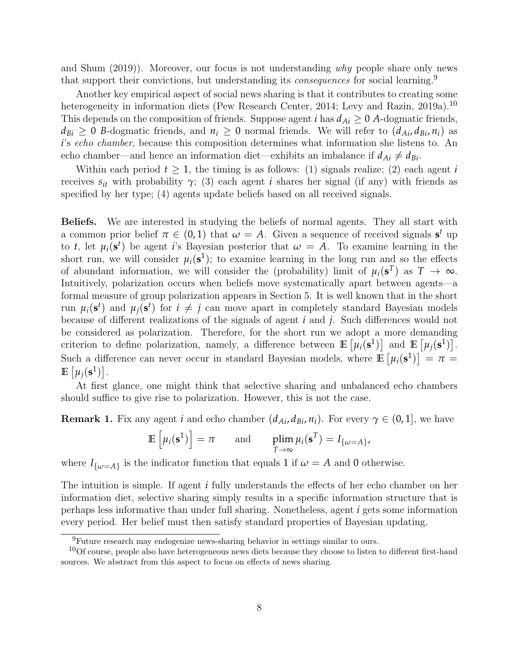[and Shum](#page-21-6) [\(2019\)](#page-21-6)). Moreover, our focus is not understanding why people share only news that support their convictions, but understanding its *consequences* for social learning.<sup>[9](#page-7-0)</sup>

Another key empirical aspect of social news sharing is that it contributes to creating some heterogeneity in information diets [\(Pew Research Center,](#page-21-2) [2014;](#page-21-2) [Levy and Razin,](#page-20-3) [2019a\)](#page-20-3).<sup>[10](#page-7-1)</sup> This depends on the composition of friends. Suppose agent *i* has  $d_{Ai} \geq 0$  *A*-dogmatic friends,  $d_{Bi} \geq 0$  *B*-dogmatic friends, and  $n_i \geq 0$  normal friends. We will refer to  $(d_{Ai}, d_{Bi}, n_i)$  as *i*'s echo chamber, because this composition determines what information she listens to. An echo chamber—and hence an information diet—exhibits an imbalance if  $d_{Ai} \neq d_{Bi}$ .

Within each period  $t \geq 1$ , the timing is as follows: (1) signals realize; (2) each agent *i* receives  $s_{it}$  with probability  $\gamma$ ; (3) each agent *i* shares her signal (if any) with friends as specified by her type; (4) agents update beliefs based on all received signals.

Beliefs. We are interested in studying the beliefs of normal agents. They all start with a common prior belief  $\pi \in (0,1)$  that  $\omega = A$ . Given a sequence of received signals  $s^t$  up to *t*, let  $\mu_i(\mathbf{s}^t)$  be agent *i*'s Bayesian posterior that  $\omega = A$ . To examine learning in the short run, we will consider  $\mu_i(\mathbf{s}^1)$ ; to examine learning in the long run and so the effects of abundant information, we will consider the (probability) limit of  $\mu_i(\mathbf{s}^T)$  as  $T \to \infty$ . Intuitively, polarization occurs when beliefs move systematically apart between agents—a formal measure of group polarization appears in Section [5.](#page-14-0) It is well known that in the short run  $\mu_i(\mathbf{s}^t)$  and  $\mu_j(\mathbf{s}^t)$  for  $i \neq j$  can move apart in completely standard Bayesian models because of different realizations of the signals of agent *i* and *j*. Such differences would not be considered as polarization. Therefore, for the short run we adopt a more demanding criterion to define polarization, namely, a difference between  $\mathbb{E} \left[ \mu_i(\mathbf{s}^1) \right]$  and  $\mathbb{E} \left[ \mu_j(\mathbf{s}^1) \right]$ . Such a difference can never occur in standard Bayesian models, where  $\mathbb{E}[\mu_i(\mathbf{s}^1)] = \pi =$  $\mathbb{E}\left[\mu_j(\mathbf{s}^1)\right]$ .

At first glance, one might think that selective sharing and unbalanced echo chambers should suffice to give rise to polarization. However, this is not the case.

<span id="page-7-2"></span>**Remark 1.** Fix any agent *i* and echo chamber  $(d_{Ai}, d_{Bi}, n_i)$ . For every  $\gamma \in (0, 1]$ , we have

$$
\mathbb{E}\left[\mu_i(\mathbf{s}^1)\right] = \pi \quad \text{and} \quad \lim_{T \to \infty} \mu_i(\mathbf{s}^T) = I_{\{\omega = A\}},
$$

where  $I_{\{\omega=A\}}$  is the indicator function that equals 1 if  $\omega=A$  and 0 otherwise.

The intuition is simple. If agent *i* fully understands the effects of her echo chamber on her information diet, selective sharing simply results in a specific information structure that is perhaps less informative than under full sharing. Nonetheless, agent *i* gets some information every period. Her belief must then satisfy standard properties of Bayesian updating.

<span id="page-7-1"></span><span id="page-7-0"></span><sup>9</sup>Future research may endogenize news-sharing behavior in settings similar to ours.

<sup>&</sup>lt;sup>10</sup>Of course, people also have heterogeneous news diets because they choose to listen to different first-hand sources. We abstract from this aspect to focus on effects of news sharing.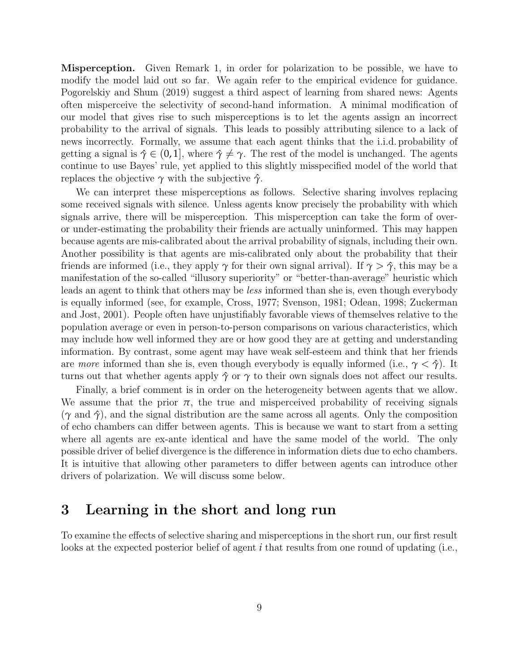Misperception. Given Remark [1,](#page-7-2) in order for polarization to be possible, we have to modify the model laid out so far. We again refer to the empirical evidence for guidance. [Pogorelskiy and Shum](#page-21-6) [\(2019\)](#page-21-6) suggest a third aspect of learning from shared news: Agents often misperceive the selectivity of second-hand information. A minimal modification of our model that gives rise to such misperceptions is to let the agents assign an incorrect probability to the arrival of signals. This leads to possibly attributing silence to a lack of news incorrectly. Formally, we assume that each agent thinks that the i.i.d. probability of getting a signal is  $\hat{\gamma} \in (0, 1]$ , where  $\hat{\gamma} \neq \gamma$ . The rest of the model is unchanged. The agents continue to use Bayes' rule, yet applied to this slightly misspecified model of the world that replaces the objective  $\gamma$  with the subjective  $\hat{\gamma}$ .

We can interpret these misperceptions as follows. Selective sharing involves replacing some received signals with silence. Unless agents know precisely the probability with which signals arrive, there will be misperception. This misperception can take the form of overor under-estimating the probability their friends are actually uninformed. This may happen because agents are mis-calibrated about the arrival probability of signals, including their own. Another possibility is that agents are mis-calibrated only about the probability that their friends are informed (i.e., they apply  $\gamma$  for their own signal arrival). If  $\gamma > \hat{\gamma}$ , this may be a manifestation of the so-called "illusory superiority" or "better-than-average" heuristic which leads an agent to think that others may be less informed than she is, even though everybody is equally informed (see, for example, [Cross,](#page-19-5) [1977;](#page-19-5) [Svenson,](#page-21-7) [1981;](#page-21-7) [Odean,](#page-21-8) [1998;](#page-21-8) [Zuckerman](#page-22-3) [and Jost,](#page-22-3) [2001\)](#page-22-3). People often have unjustifiably favorable views of themselves relative to the population average or even in person-to-person comparisons on various characteristics, which may include how well informed they are or how good they are at getting and understanding information. By contrast, some agent may have weak self-esteem and think that her friends are more informed than she is, even though everybody is equally informed (i.e.,  $\gamma < \hat{\gamma}$ ). It turns out that whether agents apply  $\hat{\gamma}$  or  $\gamma$  to their own signals does not affect our results.

Finally, a brief comment is in order on the heterogeneity between agents that we allow. We assume that the prior  $\pi$ , the true and misperceived probability of receiving signals  $(\gamma \text{ and } \hat{\gamma})$ , and the signal distribution are the same across all agents. Only the composition of echo chambers can differ between agents. This is because we want to start from a setting where all agents are ex-ante identical and have the same model of the world. The only possible driver of belief divergence is the difference in information diets due to echo chambers. It is intuitive that allowing other parameters to differ between agents can introduce other drivers of polarization. We will discuss some below.

### <span id="page-8-0"></span>3 Learning in the short and long run

To examine the effects of selective sharing and misperceptions in the short run, our first result looks at the expected posterior belief of agent *i* that results from one round of updating (i.e.,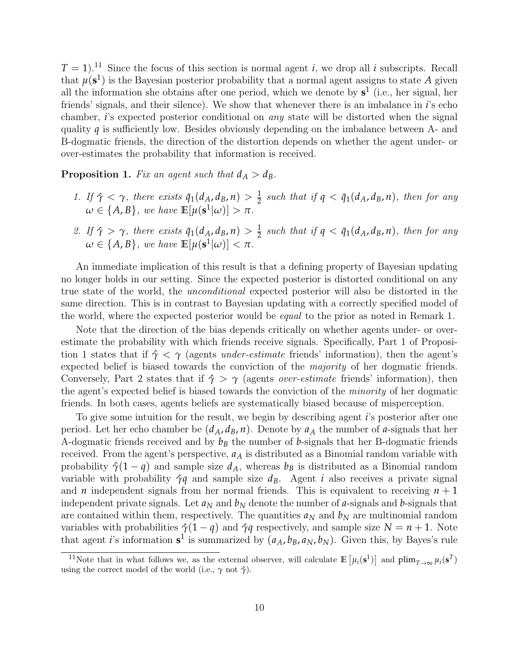$T = 1$ .<sup>[11](#page-9-0)</sup> Since the focus of this section is normal agent *i*, we drop all *i* subscripts. Recall that  $\mu(\mathbf{s}^1)$  is the Bayesian posterior probability that a normal agent assigns to state A given all the information she obtains after one period, which we denote by **s** 1 (i.e., her signal, her friends' signals, and their silence). We show that whenever there is an imbalance in *i*'s echo chamber, *i*'s expected posterior conditional on any state will be distorted when the signal quality *q* is sufficiently low. Besides obviously depending on the imbalance between A- and B-dogmatic friends, the direction of the distortion depends on whether the agent under- or over-estimates the probability that information is received.

<span id="page-9-1"></span>**Proposition 1.** Fix an agent such that  $d_A > d_B$ .

- 1. If  $\hat{\gamma} < \gamma$ , there exists  $\bar{q}_1(d_A, d_B, n) > \frac{1}{2}$  such that if  $q < \bar{q}_1(d_A, d_B, n)$ , then for any  $\omega \in \{A, B\}$ , we have  $\mathbb{E}[\mu(\mathbf{s}^1|\omega)] > \pi$ .
- 2. If  $\hat{\gamma} > \gamma$ , there exists  $\bar{q}_1(d_A, d_B, n) > \frac{1}{2}$  such that if  $q < \bar{q}_1(d_A, d_B, n)$ , then for any  $\omega \in \{A, B\}$ , we have  $\mathbb{E}[\mu(\mathbf{s}^1|\omega)] < \pi$ .

An immediate implication of this result is that a defining property of Bayesian updating no longer holds in our setting. Since the expected posterior is distorted conditional on any true state of the world, the unconditional expected posterior will also be distorted in the same direction. This is in contrast to Bayesian updating with a correctly specified model of the world, where the expected posterior would be equal to the prior as noted in Remark [1.](#page-7-2)

Note that the direction of the bias depends critically on whether agents under- or overestimate the probability with which friends receive signals. Specifically, Part 1 of Proposi-tion [1](#page-9-1) states that if  $\hat{\gamma} < \gamma$  (agents *under-estimate* friends' information), then the agent's expected belief is biased towards the conviction of the majority of her dogmatic friends. Conversely, Part 2 states that if *γ*ˆ > *γ* (agents over-estimate friends' information), then the agent's expected belief is biased towards the conviction of the minority of her dogmatic friends. In both cases, agents beliefs are systematically biased because of misperception.

To give some intuition for the result, we begin by describing agent *i*'s posterior after one period. Let her echo chamber be  $(d_A, d_B, n)$ . Denote by  $a_A$  the number of *a*-signals that her A-dogmatic friends received and by *b<sup>B</sup>* the number of *b*-signals that her B-dogmatic friends received. From the agent's perspective, *a<sup>A</sup>* is distributed as a Binomial random variable with probability  $\hat{\gamma}(1-q)$  and sample size  $d_A$ , whereas  $b_B$  is distributed as a Binomial random variable with probability  $\hat{\gamma}q$  and sample size  $d_B$ . Agent *i* also receives a private signal and *n* independent signals from her normal friends. This is equivalent to receiving  $n + 1$ independent private signals. Let  $a_N$  and  $b_N$  denote the number of *a*-signals and *b*-signals that are contained within them, respectively. The quantities  $a_N$  and  $b_N$  are multinomial random variables with probabilities  $\hat{\gamma}(1 - q)$  and  $\hat{\gamma}q$  respectively, and sample size  $N = n + 1$ . Note that agent *i*'s information  $s^1$  is summarized by  $(a_A, b_B, a_N, b_N)$ . Given this, by Bayes's rule

<span id="page-9-0"></span><sup>&</sup>lt;sup>11</sup>Note that in what follows we, as the external observer, will calculate  $\mathbb{E}[\mu_i(\mathbf{s}^1)]$  and  $\text{plim}_{T\to\infty}\mu_i(\mathbf{s}^T)$ using the correct model of the world (i.e.,  $\gamma$  not  $\hat{\gamma}$ ).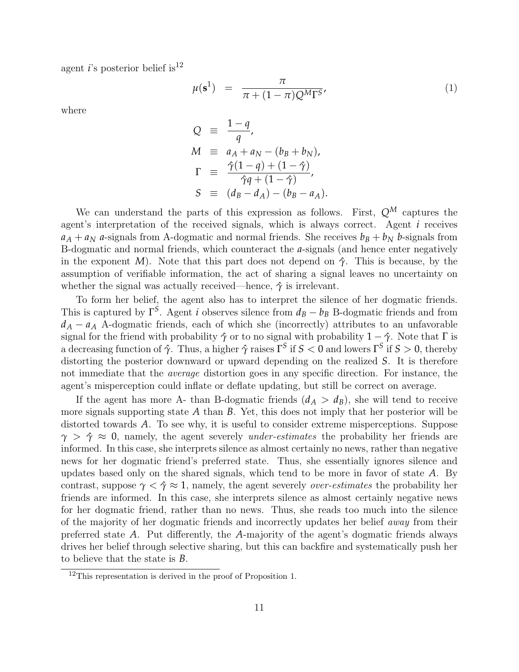agent *i*'s posterior belief is<sup>[12](#page-10-0)</sup>

$$
\mu(\mathbf{s}^1) = \frac{\pi}{\pi + (1 - \pi)Q^M \Gamma^S},\tag{1}
$$

where

$$
Q = \frac{1-q}{q},
$$
  
\n
$$
M = a_A + a_N - (b_B + b_N),
$$
  
\n
$$
\Gamma = \frac{\hat{\gamma}(1-q) + (1-\hat{\gamma})}{\hat{\gamma}q + (1-\hat{\gamma})},
$$
  
\n
$$
S = (d_B - d_A) - (b_B - a_A).
$$

We can understand the parts of this expression as follows. First,  $Q^M$  captures the agent's interpretation of the received signals, which is always correct. Agent *i* receives  $a_A + a_N$  *a*-signals from A-dogmatic and normal friends. She receives  $b_B + b_N$  *b*-signals from B-dogmatic and normal friends, which counteract the *a*-signals (and hence enter negatively in the exponent *M*). Note that this part does not depend on  $\hat{\gamma}$ . This is because, by the assumption of verifiable information, the act of sharing a signal leaves no uncertainty on whether the signal was actually received—hence,  $\hat{\gamma}$  is irrelevant.

To form her belief, the agent also has to interpret the silence of her dogmatic friends. This is captured by  $\Gamma^S$ . Agent *i* observes silence from  $d_B - b_B$  B-dogmatic friends and from  $d_A - a_A$  A-dogmatic friends, each of which she (incorrectly) attributes to an unfavorable signal for the friend with probability  $\hat{\gamma}$  or to no signal with probability  $1 - \hat{\gamma}$ . Note that  $\Gamma$  is a decreasing function of *γ*ˆ. Thus, a higher *γ*ˆ raises Γ *S* if *S* < 0 and lowers Γ *S* if *S* > 0, thereby distorting the posterior downward or upward depending on the realized *S*. It is therefore not immediate that the average distortion goes in any specific direction. For instance, the agent's misperception could inflate or deflate updating, but still be correct on average.

If the agent has more A- than B-dogmatic friends  $(d_A > d_B)$ , she will tend to receive more signals supporting state *A* than *B*. Yet, this does not imply that her posterior will be distorted towards *A*. To see why, it is useful to consider extreme misperceptions. Suppose  $\gamma > \hat{\gamma} \approx 0$ , namely, the agent severely *under-estimates* the probability her friends are informed. In this case, she interprets silence as almost certainly no news, rather than negative news for her dogmatic friend's preferred state. Thus, she essentially ignores silence and updates based only on the shared signals, which tend to be more in favor of state *A*. By contrast, suppose  $\gamma < \hat{\gamma} \approx 1$ , namely, the agent severely *over-estimates* the probability her friends are informed. In this case, she interprets silence as almost certainly negative news for her dogmatic friend, rather than no news. Thus, she reads too much into the silence of the majority of her dogmatic friends and incorrectly updates her belief away from their preferred state *A*. Put differently, the *A*-majority of the agent's dogmatic friends always drives her belief through selective sharing, but this can backfire and systematically push her to believe that the state is *B*.

<span id="page-10-0"></span><sup>12</sup>This representation is derived in the proof of Proposition [1.](#page-9-1)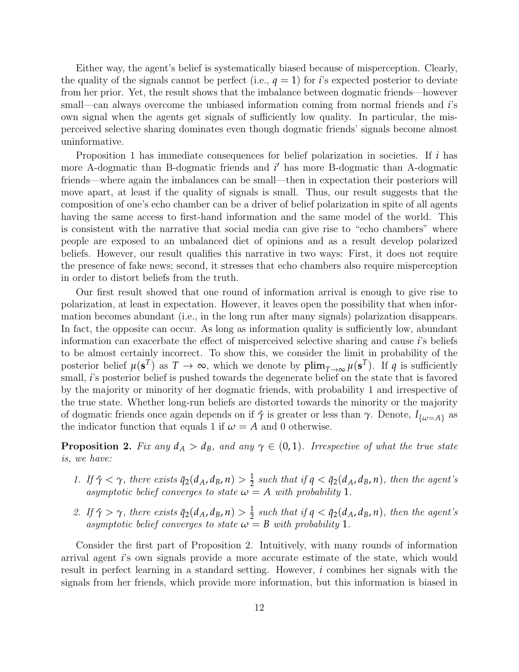Either way, the agent's belief is systematically biased because of misperception. Clearly, the quality of the signals cannot be perfect (i.e.,  $q = 1$ ) for *i*'s expected posterior to deviate from her prior. Yet, the result shows that the imbalance between dogmatic friends—however small—can always overcome the unbiased information coming from normal friends and *i*'s own signal when the agents get signals of sufficiently low quality. In particular, the misperceived selective sharing dominates even though dogmatic friends' signals become almost uninformative.

Proposition [1](#page-9-1) has immediate consequences for belief polarization in societies. If *i* has more A-dogmatic than B-dogmatic friends and *i*' has more B-dogmatic than A-dogmatic friends—where again the imbalances can be small—then in expectation their posteriors will move apart, at least if the quality of signals is small. Thus, our result suggests that the composition of one's echo chamber can be a driver of belief polarization in spite of all agents having the same access to first-hand information and the same model of the world. This is consistent with the narrative that social media can give rise to "echo chambers" where people are exposed to an unbalanced diet of opinions and as a result develop polarized beliefs. However, our result qualifies this narrative in two ways: First, it does not require the presence of fake news; second, it stresses that echo chambers also require misperception in order to distort beliefs from the truth.

Our first result showed that one round of information arrival is enough to give rise to polarization, at least in expectation. However, it leaves open the possibility that when information becomes abundant (i.e., in the long run after many signals) polarization disappears. In fact, the opposite can occur. As long as information quality is sufficiently low, abundant information can exacerbate the effect of misperceived selective sharing and cause *i*'s beliefs to be almost certainly incorrect. To show this, we consider the limit in probability of the posterior belief  $\mu(\mathbf{s}^T)$  as  $T \to \infty$ , which we denote by  $\text{plim}_{T\to\infty} \mu(\mathbf{s}^T)$ . If  $q$  is sufficiently small, *i*'s posterior belief is pushed towards the degenerate belief on the state that is favored by the majority or minority of her dogmatic friends, with probability 1 and irrespective of the true state. Whether long-run beliefs are distorted towards the minority or the majority of dogmatic friends once again depends on if  $\hat{\gamma}$  is greater or less than  $\gamma$ . Denote,  $I_{\{\omega=A\}}$  as the indicator function that equals 1 if  $\omega = A$  and 0 otherwise.

<span id="page-11-0"></span>**Proposition 2.** Fix any  $d_A > d_B$ , and any  $\gamma \in (0,1)$ . Irrespective of what the true state is, we have:

- 1. If  $\hat{\gamma} < \gamma$ , there exists  $\bar{q}_2(d_A, d_B, n) > \frac{1}{2}$  such that if  $q < \bar{q}_2(d_A, d_B, n)$ , then the agent's asymptotic belief converges to state  $\omega = A$  with probability 1.
- 2. If  $\hat{\gamma} > \gamma$ , there exists  $\bar{q}_2(d_A, d_B, n) > \frac{1}{2}$  such that if  $q < \bar{q}_2(d_A, d_B, n)$ , then the agent's asymptotic belief converges to state  $\omega = B$  with probability 1.

Consider the first part of Proposition [2.](#page-11-0) Intuitively, with many rounds of information arrival agent *i*'s own signals provide a more accurate estimate of the state, which would result in perfect learning in a standard setting. However, *i* combines her signals with the signals from her friends, which provide more information, but this information is biased in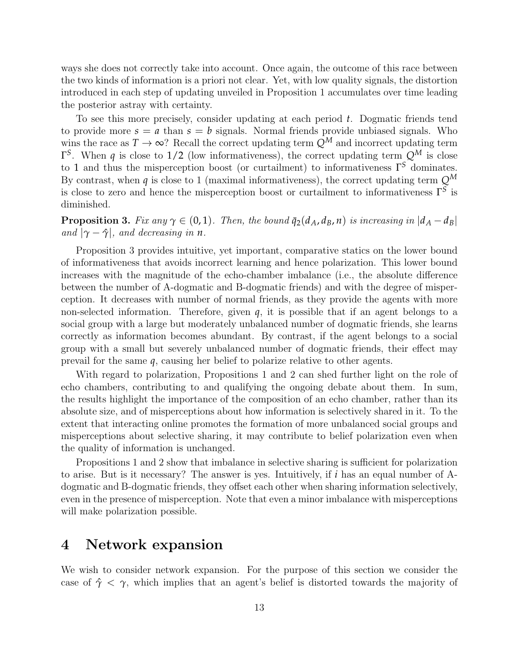ways she does not correctly take into account. Once again, the outcome of this race between the two kinds of information is a priori not clear. Yet, with low quality signals, the distortion introduced in each step of updating unveiled in Proposition [1](#page-9-1) accumulates over time leading the posterior astray with certainty.

To see this more precisely, consider updating at each period *t*. Dogmatic friends tend to provide more  $s = a$  than  $s = b$  signals. Normal friends provide unbiased signals. Who wins the race as  $T \to \infty$ ? Recall the correct updating term  $Q^M$  and incorrect updating term Γ *S* . When *q* is close to 1/2 (low informativeness), the correct updating term *Q<sup>M</sup>* is close to 1 and thus the misperception boost (or curtailment) to informativeness Γ *<sup>S</sup>* dominates. By contrast, when *q* is close to 1 (maximal informativeness), the correct updating term *Q<sup>M</sup>* is close to zero and hence the misperception boost or curtailment to informativeness Γ *S* is diminished.

<span id="page-12-1"></span>**Proposition 3.** Fix any  $\gamma \in (0,1)$ . Then, the bound  $\bar{q}_2(d_A, d_B, n)$  is increasing in  $|d_A - d_B|$ and  $|\gamma - \hat{\gamma}|$ , and decreasing in *n*.

Proposition [3](#page-12-1) provides intuitive, yet important, comparative statics on the lower bound of informativeness that avoids incorrect learning and hence polarization. This lower bound increases with the magnitude of the echo-chamber imbalance (i.e., the absolute difference between the number of A-dogmatic and B-dogmatic friends) and with the degree of misperception. It decreases with number of normal friends, as they provide the agents with more non-selected information. Therefore, given  $q$ , it is possible that if an agent belongs to a social group with a large but moderately unbalanced number of dogmatic friends, she learns correctly as information becomes abundant. By contrast, if the agent belongs to a social group with a small but severely unbalanced number of dogmatic friends, their effect may prevail for the same *q*, causing her belief to polarize relative to other agents.

With regard to polarization, Propositions [1](#page-9-1) and [2](#page-11-0) can shed further light on the role of echo chambers, contributing to and qualifying the ongoing debate about them. In sum, the results highlight the importance of the composition of an echo chamber, rather than its absolute size, and of misperceptions about how information is selectively shared in it. To the extent that interacting online promotes the formation of more unbalanced social groups and misperceptions about selective sharing, it may contribute to belief polarization even when the quality of information is unchanged.

Propositions [1](#page-9-1) and [2](#page-11-0) show that imbalance in selective sharing is sufficient for polarization to arise. But is it necessary? The answer is yes. Intuitively, if *i* has an equal number of Adogmatic and B-dogmatic friends, they offset each other when sharing information selectively, even in the presence of misperception. Note that even a minor imbalance with misperceptions will make polarization possible.

## <span id="page-12-0"></span>4 Network expansion

We wish to consider network expansion. For the purpose of this section we consider the case of  $\hat{\gamma} < \gamma$ , which implies that an agent's belief is distorted towards the majority of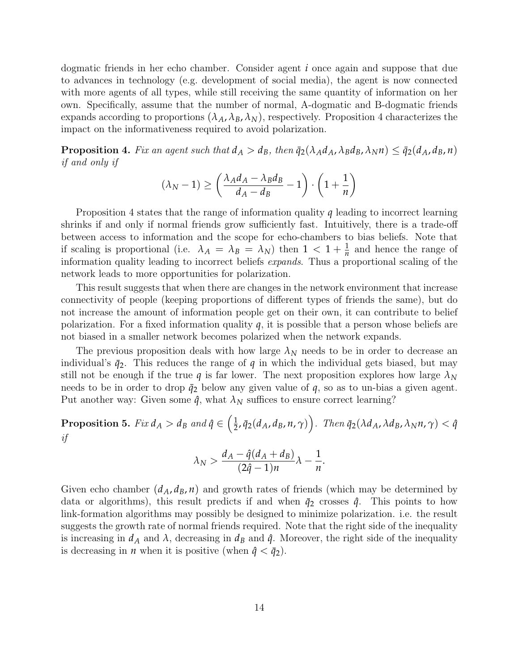dogmatic friends in her echo chamber. Consider agent *i* once again and suppose that due to advances in technology (e.g. development of social media), the agent is now connected with more agents of all types, while still receiving the same quantity of information on her own. Specifically, assume that the number of normal, A-dogmatic and B-dogmatic friends expands according to proportions  $(\lambda_A, \lambda_B, \lambda_N)$ , respectively. Proposition [4](#page-13-0) characterizes the impact on the informativeness required to avoid polarization.

<span id="page-13-0"></span>**Proposition 4.** Fix an agent such that  $d_A > d_B$ , then  $\bar{q}_2(\lambda_A d_A, \lambda_B d_B, \lambda_N n) \leq \bar{q}_2(d_A, d_B, n)$ if and only if

$$
(\lambda_N - 1) \ge \left(\frac{\lambda_A d_A - \lambda_B d_B}{d_A - d_B} - 1\right) \cdot \left(1 + \frac{1}{n}\right)
$$

Proposition [4](#page-13-0) states that the range of information quality *q* leading to incorrect learning shrinks if and only if normal friends grow sufficiently fast. Intuitively, there is a trade-off between access to information and the scope for echo-chambers to bias beliefs. Note that if scaling is proportional (i.e.  $\lambda_A = \lambda_B = \lambda_N$ ) then  $1 < 1 + \frac{1}{n}$  and hence the range of information quality leading to incorrect beliefs expands. Thus a proportional scaling of the network leads to more opportunities for polarization.

This result suggests that when there are changes in the network environment that increase connectivity of people (keeping proportions of different types of friends the same), but do not increase the amount of information people get on their own, it can contribute to belief polarization. For a fixed information quality *q*, it is possible that a person whose beliefs are not biased in a smaller network becomes polarized when the network expands.

The previous proposition deals with how large  $\lambda_N$  needs to be in order to decrease an individual's  $\bar{q}_2$ . This reduces the range of  $q$  in which the individual gets biased, but may still not be enough if the true *q* is far lower. The next proposition explores how large  $\lambda_N$ needs to be in order to drop  $\bar{q}_2$  below any given value of  $q$ , so as to un-bias a given agent. Put another way: Given some  $\hat{q}$ , what  $\lambda_N$  suffices to ensure correct learning?

<span id="page-13-1"></span>Proposition 5. Fix  $d_A > d_B$  and  $\hat{q} \in \left(\frac{1}{2}\right)$  $\left(\frac{1}{2}, \bar{q}_2(d_A, d_B, n, \gamma)\right)$ . Then  $\bar{q}_2(\lambda d_A, \lambda d_B, \lambda_N n, \gamma) < \hat{q}$ if

$$
\lambda_N > \frac{d_A - \hat{q}(d_A + d_B)}{(2\hat{q} - 1)n} \lambda - \frac{1}{n}.
$$

Given echo chamber  $(d_A, d_B, n)$  and growth rates of friends (which may be determined by data or algorithms), this result predicts if and when  $\bar{q}_2$  crosses  $\hat{q}$ . This points to how link-formation algorithms may possibly be designed to minimize polarization. i.e. the result suggests the growth rate of normal friends required. Note that the right side of the inequality is increasing in  $d_A$  and  $\lambda$ , decreasing in  $d_B$  and  $\hat{q}$ . Moreover, the right side of the inequality is decreasing in *n* when it is positive (when  $\hat{q} < \bar{q}_2$ ).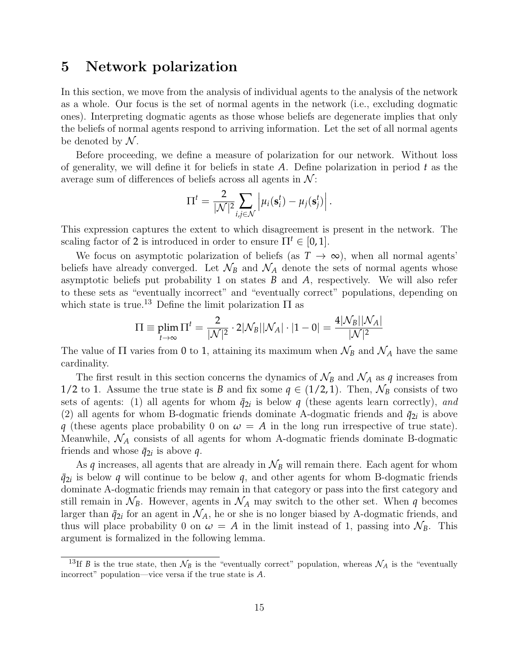### <span id="page-14-0"></span>5 Network polarization

In this section, we move from the analysis of individual agents to the analysis of the network as a whole. Our focus is the set of normal agents in the network (i.e., excluding dogmatic ones). Interpreting dogmatic agents as those whose beliefs are degenerate implies that only the beliefs of normal agents respond to arriving information. Let the set of all normal agents be denoted by  $N$ .

Before proceeding, we define a measure of polarization for our network. Without loss of generality, we will define it for beliefs in state *A*. Define polarization in period *t* as the average sum of differences of beliefs across all agents in  $\mathcal{N}$ :

$$
\Pi^{t} = \frac{2}{|\mathcal{N}|^2} \sum_{i,j \in \mathcal{N}} \left| \mu_i(\mathbf{s}_i^{t}) - \mu_j(\mathbf{s}_j^{t}) \right|.
$$

This expression captures the extent to which disagreement is present in the network. The scaling factor of 2 is introduced in order to ensure  $\Pi^t \in [0,1]$ .

We focus on asymptotic polarization of beliefs (as  $T \to \infty$ ), when all normal agents<sup>'</sup> beliefs have already converged. Let  $\mathcal{N}_B$  and  $\mathcal{N}_A$  denote the sets of normal agents whose asymptotic beliefs put probability 1 on states *B* and *A*, respectively. We will also refer to these sets as "eventually incorrect" and "eventually correct" populations, depending on which state is true.<sup>[13](#page-14-1)</sup> Define the limit polarization  $\Pi$  as

$$
\Pi \equiv \plim_{t \rightarrow \infty} \Pi^t = \frac{2}{|\mathcal{N}|^2} \cdot 2|\mathcal{N}_B||\mathcal{N}_A| \cdot |1 - 0| = \frac{4|\mathcal{N}_B||\mathcal{N}_A|}{|\mathcal{N}|^2}
$$

The value of  $\Pi$  varies from 0 to 1, attaining its maximum when  $\mathcal{N}_B$  and  $\mathcal{N}_A$  have the same cardinality.

The first result in this section concerns the dynamics of  $\mathcal{N}_B$  and  $\mathcal{N}_A$  as  $q$  increases from 1/2 to 1. Assume the true state is *B* and fix some  $q \in (1/2, 1)$ . Then,  $\mathcal{N}_B$  consists of two sets of agents: (1) all agents for whom  $\bar{q}_{2i}$  is below  $q$  (these agents learn correctly), and (2) all agents for whom B-dogmatic friends dominate A-dogmatic friends and  $\bar{q}_{2i}$  is above *q* (these agents place probability 0 on  $\omega = A$  in the long run irrespective of true state). Meanwhile,  $\mathcal{N}_A$  consists of all agents for whom A-dogmatic friends dominate B-dogmatic friends and whose  $\bar{q}_{2i}$  is above  $q$ .

As  $q$  increases, all agents that are already in  $\mathcal{N}_B$  will remain there. Each agent for whom  $\bar{q}_{2i}$  is below *q* will continue to be below *q*, and other agents for whom B-dogmatic friends dominate A-dogmatic friends may remain in that category or pass into the first category and still remain in  $\mathcal{N}_B$ . However, agents in  $\mathcal{N}_A$  may switch to the other set. When *q* becomes larger than  $\bar{q}_{2i}$  for an agent in  $\mathcal{N}_A$ , he or she is no longer biased by A-dogmatic friends, and thus will place probability 0 on  $\omega = A$  in the limit instead of 1, passing into  $\mathcal{N}_B$ . This argument is formalized in the following lemma.

<span id="page-14-1"></span><sup>&</sup>lt;sup>13</sup>If *B* is the true state, then  $\mathcal{N}_B$  is the "eventually correct" population, whereas  $\mathcal{N}_A$  is the "eventually incorrect" population—vice versa if the true state is *A*.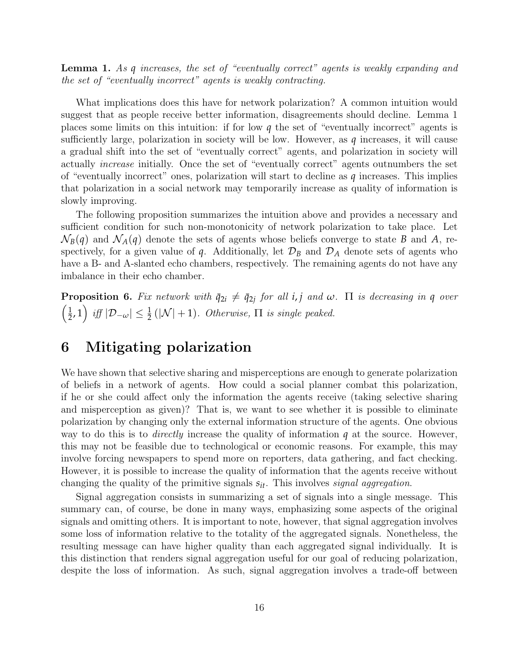<span id="page-15-1"></span>Lemma 1. As *q* increases, the set of "eventually correct" agents is weakly expanding and the set of "eventually incorrect" agents is weakly contracting.

What implications does this have for network polarization? A common intuition would suggest that as people receive better information, disagreements should decline. Lemma [1](#page-15-1) places some limits on this intuition: if for low *q* the set of "eventually incorrect" agents is sufficiently large, polarization in society will be low. However, as *q* increases, it will cause a gradual shift into the set of "eventually correct" agents, and polarization in society will actually increase initially. Once the set of "eventually correct" agents outnumbers the set of "eventually incorrect" ones, polarization will start to decline as *q* increases. This implies that polarization in a social network may temporarily increase as quality of information is slowly improving.

The following proposition summarizes the intuition above and provides a necessary and sufficient condition for such non-monotonicity of network polarization to take place. Let  $\mathcal{N}_B(q)$  and  $\mathcal{N}_A(q)$  denote the sets of agents whose beliefs converge to state *B* and *A*, respectively, for a given value of  $q$ . Additionally, let  $\mathcal{D}_B$  and  $\mathcal{D}_A$  denote sets of agents who have a B- and A-slanted echo chambers, respectively. The remaining agents do not have any imbalance in their echo chamber.

<span id="page-15-2"></span>**Proposition 6.** Fix network with  $\bar{q}_{2i} \neq \bar{q}_{2j}$  for all *i*, *j* and  $\omega$ .  $\Pi$  *is decreasing in q over*  $\sqrt{1}$  $\frac{1}{2}$ , 1) iff  $|\mathcal{D}_{-\omega}| \leq \frac{1}{2}(|\mathcal{N}| + 1)$ . Otherwise,  $\Pi$  is single peaked.

### <span id="page-15-0"></span>6 Mitigating polarization

We have shown that selective sharing and misperceptions are enough to generate polarization of beliefs in a network of agents. How could a social planner combat this polarization, if he or she could affect only the information the agents receive (taking selective sharing and misperception as given)? That is, we want to see whether it is possible to eliminate polarization by changing only the external information structure of the agents. One obvious way to do this is to directly increase the quality of information *q* at the source. However, this may not be feasible due to technological or economic reasons. For example, this may involve forcing newspapers to spend more on reporters, data gathering, and fact checking. However, it is possible to increase the quality of information that the agents receive without changing the quality of the primitive signals  $s_{it}$ . This involves *signal aggregation*.

Signal aggregation consists in summarizing a set of signals into a single message. This summary can, of course, be done in many ways, emphasizing some aspects of the original signals and omitting others. It is important to note, however, that signal aggregation involves some loss of information relative to the totality of the aggregated signals. Nonetheless, the resulting message can have higher quality than each aggregated signal individually. It is this distinction that renders signal aggregation useful for our goal of reducing polarization, despite the loss of information. As such, signal aggregation involves a trade-off between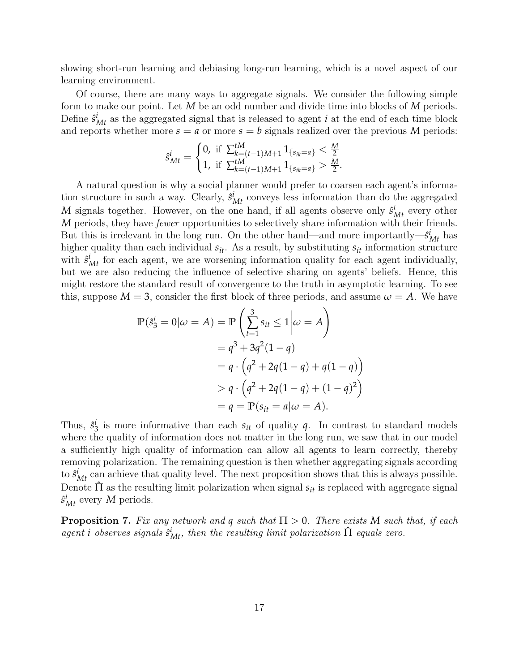slowing short-run learning and debiasing long-run learning, which is a novel aspect of our learning environment.

Of course, there are many ways to aggregate signals. We consider the following simple form to make our point. Let *M* be an odd number and divide time into blocks of *M* periods. Define  $\hat{s}_{Mt}^i$  as the aggregated signal that is released to agent *i* at the end of each time block and reports whether more  $s = a$  or more  $s = b$  signals realized over the previous M periods:

$$
\hat{s}_{Mt}^i = \begin{cases} 0, & \text{if } \sum_{k=(t-1)M+1}^{tM} 1_{\{s_{ik}=a\}} < \frac{M}{2} \\ 1, & \text{if } \sum_{k=(t-1)M+1}^{tM} 1_{\{s_{ik}=a\}} > \frac{M}{2} .\end{cases}
$$

A natural question is why a social planner would prefer to coarsen each agent's information structure in such a way. Clearly,  $\hat{s}_{Mt}^i$  conveys less information than do the aggregated *M* signals together. However, on the one hand, if all agents observe only  $\hat{s}_{Mt}^i$  every other *M* periods, they have *fewer* opportunities to selectively share information with their friends. But this is irrelevant in the long run. On the other hand—and more importantly— $\hat{s}^i_{Mt}$  has higher quality than each individual *sit*. As a result, by substituting *sit* information structure with  $\hat{s}_{Mt}^i$  for each agent, we are worsening information quality for each agent individually, but we are also reducing the influence of selective sharing on agents' beliefs. Hence, this might restore the standard result of convergence to the truth in asymptotic learning. To see this, suppose  $M = 3$ , consider the first block of three periods, and assume  $\omega = A$ . We have

$$
\mathbb{P}(\hat{s}_3^i = 0 | \omega = A) = \mathbb{P} \left( \sum_{t=1}^3 s_{it} \le 1 | \omega = A \right)
$$
  
=  $q^3 + 3q^2(1 - q)$   
=  $q \cdot (q^2 + 2q(1 - q) + q(1 - q))$   
>  $q \cdot (q^2 + 2q(1 - q) + (1 - q)^2)$   
=  $q = \mathbb{P}(s_{it} = a | \omega = A).$ 

 $\setminus$ 

 $\setminus$ 

Thus,  $\hat{s}^i_{\hat{i}}$  $\frac{1}{3}$  is more informative than each  $s_{it}$  of quality  $q$ . In contrast to standard models where the quality of information does not matter in the long run, we saw that in our model a sufficiently high quality of information can allow all agents to learn correctly, thereby removing polarization. The remaining question is then whether aggregating signals according to  $\hat{s}_{Mt}^i$  can achieve that quality level. The next proposition shows that this is always possible. Denote  $\hat{\Pi}$  as the resulting limit polarization when signal  $s_{it}$  is replaced with aggregate signal  $\hat{s}_{Mt}^i$  every *M* periods.

<span id="page-16-0"></span>**Proposition 7.** Fix any network and **q** such that  $\Pi > 0$ . There exists M such that, if each agent *i* observes signals  $\hat{s}_{Mt}^i$ , then the resulting limit polarization  $\hat{\Pi}$  equals zero.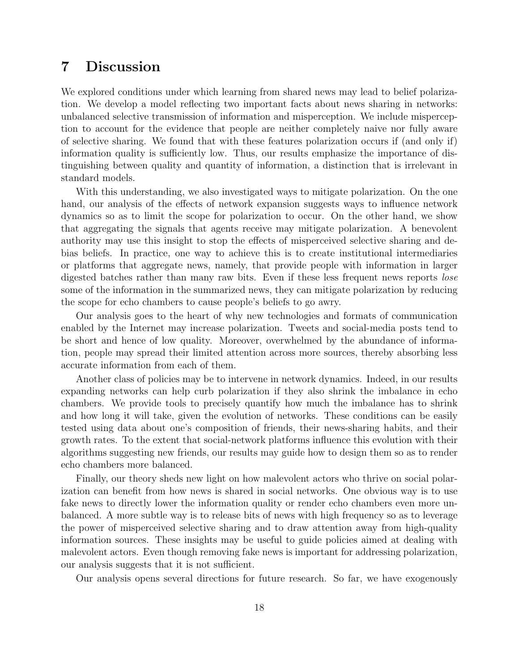## <span id="page-17-0"></span>7 Discussion

We explored conditions under which learning from shared news may lead to belief polarization. We develop a model reflecting two important facts about news sharing in networks: unbalanced selective transmission of information and misperception. We include misperception to account for the evidence that people are neither completely naive nor fully aware of selective sharing. We found that with these features polarization occurs if (and only if) information quality is sufficiently low. Thus, our results emphasize the importance of distinguishing between quality and quantity of information, a distinction that is irrelevant in standard models.

With this understanding, we also investigated ways to mitigate polarization. On the one hand, our analysis of the effects of network expansion suggests ways to influence network dynamics so as to limit the scope for polarization to occur. On the other hand, we show that aggregating the signals that agents receive may mitigate polarization. A benevolent authority may use this insight to stop the effects of misperceived selective sharing and debias beliefs. In practice, one way to achieve this is to create institutional intermediaries or platforms that aggregate news, namely, that provide people with information in larger digested batches rather than many raw bits. Even if these less frequent news reports *lose* some of the information in the summarized news, they can mitigate polarization by reducing the scope for echo chambers to cause people's beliefs to go awry.

Our analysis goes to the heart of why new technologies and formats of communication enabled by the Internet may increase polarization. Tweets and social-media posts tend to be short and hence of low quality. Moreover, overwhelmed by the abundance of information, people may spread their limited attention across more sources, thereby absorbing less accurate information from each of them.

Another class of policies may be to intervene in network dynamics. Indeed, in our results expanding networks can help curb polarization if they also shrink the imbalance in echo chambers. We provide tools to precisely quantify how much the imbalance has to shrink and how long it will take, given the evolution of networks. These conditions can be easily tested using data about one's composition of friends, their news-sharing habits, and their growth rates. To the extent that social-network platforms influence this evolution with their algorithms suggesting new friends, our results may guide how to design them so as to render echo chambers more balanced.

Finally, our theory sheds new light on how malevolent actors who thrive on social polarization can benefit from how news is shared in social networks. One obvious way is to use fake news to directly lower the information quality or render echo chambers even more unbalanced. A more subtle way is to release bits of news with high frequency so as to leverage the power of misperceived selective sharing and to draw attention away from high-quality information sources. These insights may be useful to guide policies aimed at dealing with malevolent actors. Even though removing fake news is important for addressing polarization, our analysis suggests that it is not sufficient.

Our analysis opens several directions for future research. So far, we have exogenously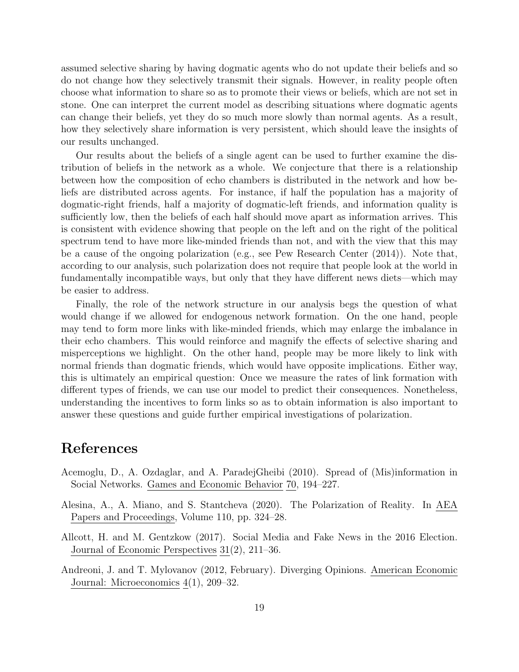assumed selective sharing by having dogmatic agents who do not update their beliefs and so do not change how they selectively transmit their signals. However, in reality people often choose what information to share so as to promote their views or beliefs, which are not set in stone. One can interpret the current model as describing situations where dogmatic agents can change their beliefs, yet they do so much more slowly than normal agents. As a result, how they selectively share information is very persistent, which should leave the insights of our results unchanged.

Our results about the beliefs of a single agent can be used to further examine the distribution of beliefs in the network as a whole. We conjecture that there is a relationship between how the composition of echo chambers is distributed in the network and how beliefs are distributed across agents. For instance, if half the population has a majority of dogmatic-right friends, half a majority of dogmatic-left friends, and information quality is sufficiently low, then the beliefs of each half should move apart as information arrives. This is consistent with evidence showing that people on the left and on the right of the political spectrum tend to have more like-minded friends than not, and with the view that this may be a cause of the ongoing polarization (e.g., see [Pew Research Center](#page-21-2) [\(2014\)](#page-21-2)). Note that, according to our analysis, such polarization does not require that people look at the world in fundamentally incompatible ways, but only that they have different news diets—which may be easier to address.

Finally, the role of the network structure in our analysis begs the question of what would change if we allowed for endogenous network formation. On the one hand, people may tend to form more links with like-minded friends, which may enlarge the imbalance in their echo chambers. This would reinforce and magnify the effects of selective sharing and misperceptions we highlight. On the other hand, people may be more likely to link with normal friends than dogmatic friends, which would have opposite implications. Either way, this is ultimately an empirical question: Once we measure the rates of link formation with different types of friends, we can use our model to predict their consequences. Nonetheless, understanding the incentives to form links so as to obtain information is also important to answer these questions and guide further empirical investigations of polarization.

## References

- <span id="page-18-2"></span>Acemoglu, D., A. Ozdaglar, and A. ParadejGheibi (2010). Spread of (Mis)information in Social Networks. Games and Economic Behavior 70, 194–227.
- <span id="page-18-0"></span>Alesina, A., A. Miano, and S. Stantcheva (2020). The Polarization of Reality. In AEA Papers and Proceedings, Volume 110, pp. 324–28.
- <span id="page-18-3"></span>Allcott, H. and M. Gentzkow (2017). Social Media and Fake News in the 2016 Election. Journal of Economic Perspectives 31(2), 211–36.
- <span id="page-18-1"></span>Andreoni, J. and T. Mylovanov (2012, February). Diverging Opinions. American Economic Journal: Microeconomics 4(1), 209–32.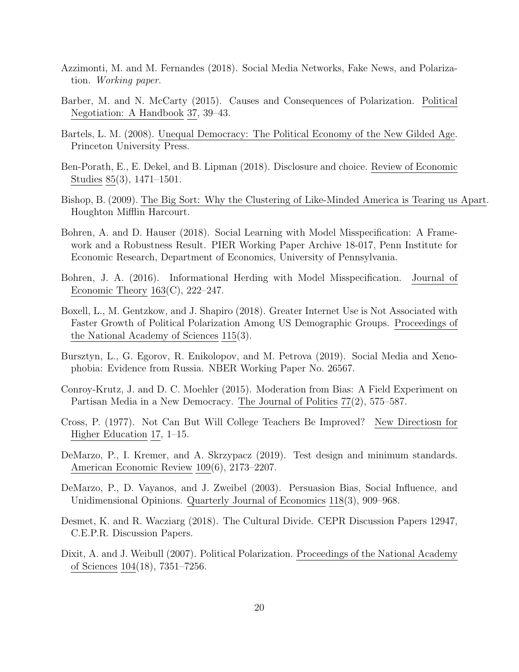- <span id="page-19-0"></span>Azzimonti, M. and M. Fernandes (2018). Social Media Networks, Fake News, and Polarization. Working paper.
- <span id="page-19-3"></span>Barber, M. and N. McCarty (2015). Causes and Consequences of Polarization. Political Negotiation: A Handbook 37, 39–43.
- <span id="page-19-1"></span>Bartels, L. M. (2008). Unequal Democracy: The Political Economy of the New Gilded Age. Princeton University Press.
- <span id="page-19-13"></span>Ben-Porath, E., E. Dekel, and B. Lipman (2018). Disclosure and choice. Review of Economic Studies 85(3), 1471–1501.
- <span id="page-19-2"></span>Bishop, B. (2009). The Big Sort: Why the Clustering of Like-Minded America is Tearing us Apart. Houghton Mifflin Harcourt.
- <span id="page-19-9"></span>Bohren, A. and D. Hauser (2018). Social Learning with Model Misspecification: A Framework and a Robustness Result. PIER Working Paper Archive 18-017, Penn Institute for Economic Research, Department of Economics, University of Pennsylvania.
- <span id="page-19-8"></span>Bohren, J. A. (2016). Informational Herding with Model Misspecification. Journal of Economic Theory  $163(C)$ ,  $222-247$ .
- <span id="page-19-12"></span>Boxell, L., M. Gentzkow, and J. Shapiro (2018). Greater Internet Use is Not Associated with Faster Growth of Political Polarization Among US Demographic Groups. Proceedings of the National Academy of Sciences 115(3).
- <span id="page-19-11"></span>Bursztyn, L., G. Egorov, R. Enikolopov, and M. Petrova (2019). Social Media and Xenophobia: Evidence from Russia. NBER Working Paper No. 26567.
- <span id="page-19-7"></span>Conroy-Krutz, J. and D. C. Moehler (2015). Moderation from Bias: A Field Experiment on Partisan Media in a New Democracy. The Journal of Politics 77(2), 575–587.
- <span id="page-19-5"></span>Cross, P. (1977). Not Can But Will College Teachers Be Improved? New Directiosn for Higher Education 17, 1–15.
- <span id="page-19-14"></span>DeMarzo, P., I. Kremer, and A. Skrzypacz (2019). Test design and minimum standards. American Economic Review 109(6), 2173–2207.
- <span id="page-19-10"></span>DeMarzo, P., D. Vayanos, and J. Zweibel (2003). Persuasion Bias, Social Influence, and Unidimensional Opinions. Quarterly Journal of Economics 118(3), 909–968.
- <span id="page-19-4"></span>Desmet, K. and R. Wacziarg (2018). The Cultural Divide. CEPR Discussion Papers 12947, C.E.P.R. Discussion Papers.
- <span id="page-19-6"></span>Dixit, A. and J. Weibull (2007). Political Polarization. Proceedings of the National Academy of Sciences 104(18), 7351–7256.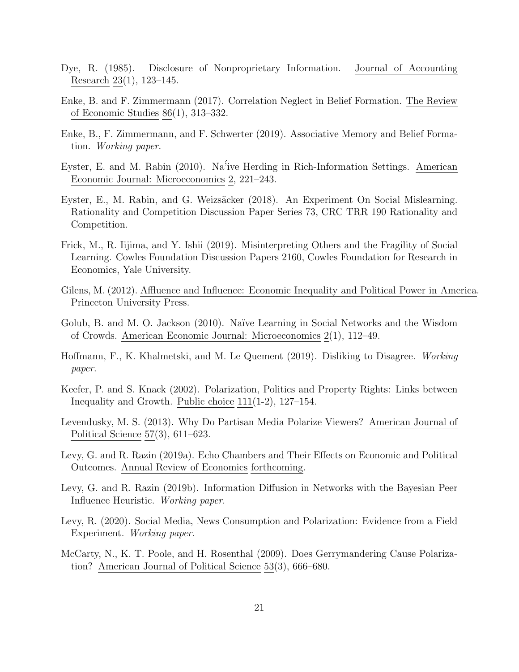- <span id="page-20-12"></span>Dye, R. (1985). Disclosure of Nonproprietary Information. Journal of Accounting Research 23(1), 123–145.
- <span id="page-20-13"></span>Enke, B. and F. Zimmermann (2017). Correlation Neglect in Belief Formation. The Review of Economic Studies 86(1), 313–332.
- <span id="page-20-6"></span>Enke, B., F. Zimmermann, and F. Schwerter (2019). Associative Memory and Belief Formation. Working paper.
- <span id="page-20-10"></span>Eyster, E. and M. Rabin (2010). Na´'ive Herding in Rich-Information Settings. American Economic Journal: Microeconomics 2, 221–243.
- <span id="page-20-14"></span>Eyster, E., M. Rabin, and G. Weizsäcker (2018). An Experiment On Social Mislearning. Rationality and Competition Discussion Paper Series 73, CRC TRR 190 Rationality and Competition.
- <span id="page-20-8"></span>Frick, M., R. Iijima, and Y. Ishii (2019). Misinterpreting Others and the Fragility of Social Learning. Cowles Foundation Discussion Papers 2160, Cowles Foundation for Research in Economics, Yale University.
- <span id="page-20-2"></span>Gilens, M. (2012). Affluence and Influence: Economic Inequality and Political Power in America. Princeton University Press.
- <span id="page-20-9"></span>Golub, B. and M. O. Jackson (2010). Na¨ıve Learning in Social Networks and the Wisdom of Crowds. American Economic Journal: Microeconomics 2(1), 112–49.
- <span id="page-20-5"></span>Hoffmann, F., K. Khalmetski, and M. Le Quement (2019). Disliking to Disagree. Working paper.
- <span id="page-20-0"></span>Keefer, P. and S. Knack (2002). Polarization, Politics and Property Rights: Links between Inequality and Growth. Public choice 111(1-2), 127–154.
- <span id="page-20-7"></span>Levendusky, M. S. (2013). Why Do Partisan Media Polarize Viewers? American Journal of Political Science 57(3), 611–623.
- <span id="page-20-3"></span>Levy, G. and R. Razin (2019a). Echo Chambers and Their Effects on Economic and Political Outcomes. Annual Review of Economics forthcoming.
- <span id="page-20-4"></span>Levy, G. and R. Razin (2019b). Information Diffusion in Networks with the Bayesian Peer Influence Heuristic. Working paper.
- <span id="page-20-11"></span>Levy, R. (2020). Social Media, News Consumption and Polarization: Evidence from a Field Experiment. Working paper.
- <span id="page-20-1"></span>McCarty, N., K. T. Poole, and H. Rosenthal (2009). Does Gerrymandering Cause Polarization? American Journal of Political Science 53(3), 666–680.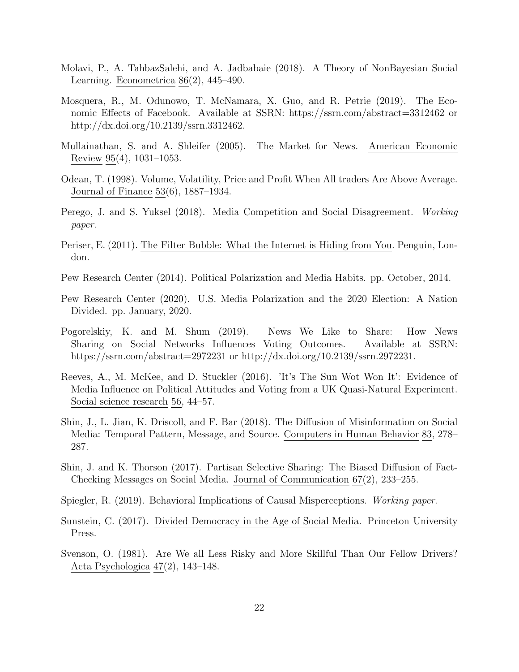- <span id="page-21-12"></span>Molavi, P., A. TahbazSalehi, and A. Jadbabaie (2018). A Theory of NonBayesian Social Learning. Econometrica 86(2), 445–490.
- <span id="page-21-14"></span>Mosquera, R., M. Odunowo, T. McNamara, X. Guo, and R. Petrie (2019). The Economic Effects of Facebook. Available at SSRN: https://ssrn.com/abstract=3312462 or http://dx.doi.org/10.2139/ssrn.3312462.
- <span id="page-21-9"></span>Mullainathan, S. and A. Shleifer (2005). The Market for News. American Economic Review 95(4), 1031–1053.
- <span id="page-21-8"></span>Odean, T. (1998). Volume, Volatility, Price and Profit When All traders Are Above Average. Journal of Finance 53(6), 1887–1934.
- <span id="page-21-11"></span>Perego, J. and S. Yuksel (2018). Media Competition and Social Disagreement. Working paper.
- <span id="page-21-0"></span>Periser, E. (2011). The Filter Bubble: What the Internet is Hiding from You. Penguin, London.
- <span id="page-21-2"></span>Pew Research Center (2014). Political Polarization and Media Habits. pp. October, 2014.
- <span id="page-21-3"></span>Pew Research Center (2020). U.S. Media Polarization and the 2020 Election: A Nation Divided. pp. January, 2020.
- <span id="page-21-6"></span>Pogorelskiy, K. and M. Shum (2019). News We Like to Share: How News Sharing on Social Networks Influences Voting Outcomes. Available at SSRN: https://ssrn.com/abstract=2972231 or http://dx.doi.org/10.2139/ssrn.2972231.
- <span id="page-21-10"></span>Reeves, A., M. McKee, and D. Stuckler (2016). 'It's The Sun Wot Won It': Evidence of Media Influence on Political Attitudes and Voting from a UK Quasi-Natural Experiment. Social science research 56, 44–57.
- <span id="page-21-5"></span>Shin, J., L. Jian, K. Driscoll, and F. Bar (2018). The Diffusion of Misinformation on Social Media: Temporal Pattern, Message, and Source. Computers in Human Behavior 83, 278– 287.
- <span id="page-21-4"></span>Shin, J. and K. Thorson (2017). Partisan Selective Sharing: The Biased Diffusion of Fact-Checking Messages on Social Media. Journal of Communication 67(2), 233–255.
- <span id="page-21-13"></span>Spiegler, R. (2019). Behavioral Implications of Causal Misperceptions. Working paper.
- <span id="page-21-1"></span>Sunstein, C. (2017). Divided Democracy in the Age of Social Media. Princeton University Press.
- <span id="page-21-7"></span>Svenson, O. (1981). Are We all Less Risky and More Skillful Than Our Fellow Drivers? Acta Psychologica 47(2), 143–148.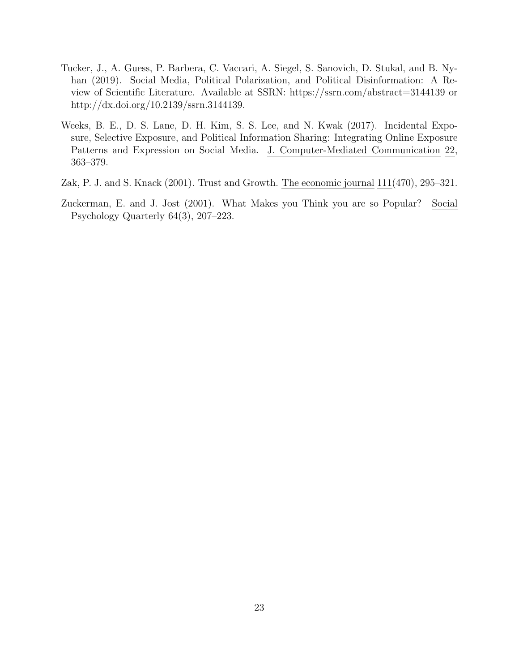- <span id="page-22-0"></span>Tucker, J., A. Guess, P. Barbera, C. Vaccari, A. Siegel, S. Sanovich, D. Stukal, and B. Nyhan (2019). Social Media, Political Polarization, and Political Disinformation: A Review of Scientific Literature. Available at SSRN: https://ssrn.com/abstract=3144139 or http://dx.doi.org/10.2139/ssrn.3144139.
- <span id="page-22-2"></span>Weeks, B. E., D. S. Lane, D. H. Kim, S. S. Lee, and N. Kwak (2017). Incidental Exposure, Selective Exposure, and Political Information Sharing: Integrating Online Exposure Patterns and Expression on Social Media. J. Computer-Mediated Communication 22, 363–379.
- <span id="page-22-1"></span>Zak, P. J. and S. Knack (2001). Trust and Growth. The economic journal 111(470), 295–321.
- <span id="page-22-3"></span>Zuckerman, E. and J. Jost (2001). What Makes you Think you are so Popular? Social Psychology Quarterly 64(3), 207–223.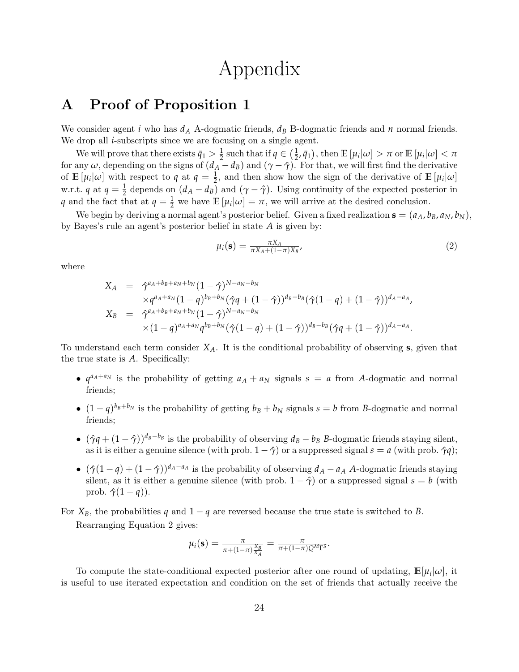# Appendix

## A Proof of Proposition [1](#page-9-1)

We consider agent *i* who has *d<sup>A</sup>* A-dogmatic friends, *d<sup>B</sup>* B-dogmatic friends and *n* normal friends. We drop all *i*-subscripts since we are focusing on a single agent.

We will prove that there exists  $\bar{q}_1 > \frac{1}{2}$  such that if  $q \in (\frac{1}{2}, \bar{q}_1)$ , then  $\mathbb{E}[\mu_i|\omega] > \pi$  or  $\mathbb{E}[\mu_i|\omega] < \pi$ For any  $\omega$ , depending on the signs of  $(d_A - d_B)$  and  $(\gamma - \hat{\gamma})$ . For that, we will first find the derivative of  $\mathbb{E}[\mu_i|\omega]$  with respect to  $q$  at  $q = \frac{1}{2}$ , and then show how the sign of the derivative of  $\mathbb{E}[\mu_i|\omega]$ w.r.t. *q* at  $q = \frac{1}{2}$  depends on  $(d_A - d_B)$  and  $(\gamma - \hat{\gamma})$ . Using continuity of the expected posterior in *q* and the fact that at  $q = \frac{1}{2}$  we have  $\mathbb{E}[\mu_i|\omega] = \pi$ , we will arrive at the desired conclusion.

We begin by deriving a normal agent's posterior belief. Given a fixed realization  $\mathbf{s} = (a_A, b_B, a_N, b_N)$ , by Bayes's rule an agent's posterior belief in state *A* is given by:

<span id="page-23-0"></span>
$$
\mu_i(\mathbf{s}) = \frac{\pi X_A}{\pi X_A + (1 - \pi)X_B},\tag{2}
$$

where

$$
X_A = \hat{\gamma}^{a_A + b_B + a_N + b_N} (1 - \hat{\gamma})^{N - a_N - b_N}
$$
  
\n
$$
\times q^{a_A + a_N} (1 - q)^{b_B + b_N} (\hat{\gamma}q + (1 - \hat{\gamma}))^{d_B - b_B} (\hat{\gamma}(1 - q) + (1 - \hat{\gamma}))^{d_A - a_A},
$$
  
\n
$$
X_B = \hat{\gamma}^{a_A + b_B + a_N + b_N} (1 - \hat{\gamma})^{N - a_N - b_N}
$$
  
\n
$$
\times (1 - q)^{a_A + a_N} q^{b_B + b_N} (\hat{\gamma}(1 - q) + (1 - \hat{\gamma}))^{d_B - b_B} (\hat{\gamma}q + (1 - \hat{\gamma}))^{d_A - a_A}.
$$

To understand each term consider *XA*. It is the conditional probability of observing **s**, given that the true state is *A*. Specifically:

- $q^{a_A + a_N}$  is the probability of getting  $a_A + a_N$  signals  $s = a$  from *A*-dogmatic and normal friends;
- $(1-q)^{b_B+b_N}$  is the probability of getting  $b_B + b_N$  signals  $s = b$  from *B*-dogmatic and normal friends;
- $(\hat{\gamma}q + (1 \hat{\gamma}))^{d_B b_B}$  is the probability of observing  $d_B b_B$  *B*-dogmatic friends staying silent, as it is either a genuine silence (with prob.  $1 - \hat{\gamma}$ ) or a suppressed signal  $s = a$  (with prob.  $\hat{\gamma}q$ );
- $(\hat{\gamma}(1-q) + (1-\hat{\gamma}))^{d_A-a_A}$  is the probability of observing  $d_A a_A$  *A*-dogmatic friends staying silent, as it is either a genuine silence (with prob.  $1 - \hat{\gamma}$ ) or a suppressed signal  $s = b$  (with prob.  $\hat{\gamma}(1-q)$ ).
- For  $X_B$ , the probabilities *q* and  $1 q$  are reversed because the true state is switched to *B*. Rearranging Equation [2](#page-23-0) gives:

$$
\mu_i(\mathbf{s}) = \frac{\pi}{\pi + (1-\pi)\frac{X_B}{X_A}} = \frac{\pi}{\pi + (1-\pi)Q^M\Gamma^S}.
$$

To compute the state-conditional expected posterior after one round of updating,  $\mathbb{E}[\mu_i|\omega]$ , it is useful to use iterated expectation and condition on the set of friends that actually receive the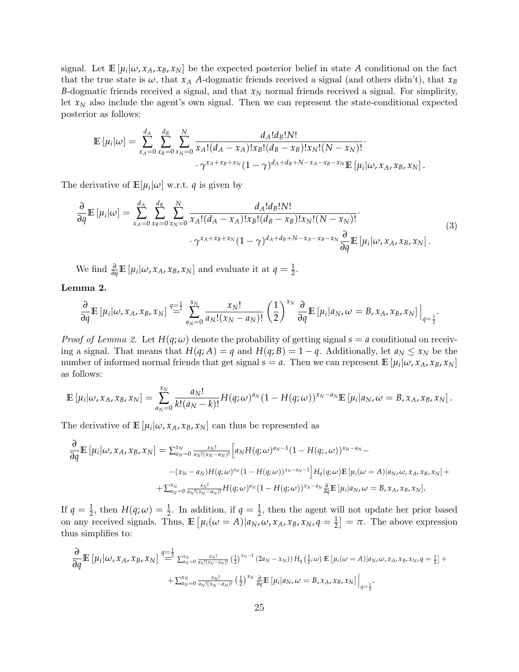signal. Let  $\mathbb{E}[\mu_i|\omega, x_A, x_B, x_N]$  be the expected posterior belief in state A conditional on the fact that the true state is  $\omega$ , that  $x_A$  *A*-dogmatic friends received a signal (and others didn't), that  $x_B$ *B*-dogmatic friends received a signal, and that *x<sup>N</sup>* normal friends received a signal. For simplicity, let  $x_N$  also include the agent's own signal. Then we can represent the state-conditional expected posterior as follows:

$$
\mathbb{E} [\mu_i | \omega] = \sum_{x_A=0}^{d_A} \sum_{x_B=0}^{d_B} \sum_{x_N=0}^N \frac{d_A! d_B! N!}{x_A! (d_A - x_A)! x_B! (d_B - x_B)! x_N! (N - x_N)!} \cdot \gamma^{x_A + x_B + x_N} (1 - \gamma)^{d_A + d_B + N - x_A - x_B - x_N} \mathbb{E} [\mu_i | \omega, x_A, x_B, x_N].
$$

The derivative of  $\mathbb{E}[\mu_i|\omega]$  w.r.t. *q* is given by

<span id="page-24-1"></span>
$$
\frac{\partial}{\partial q} \mathbb{E}\left[\mu_i|\omega\right] = \sum_{x_A=0}^{d_A} \sum_{x_B=0}^{d_B} \sum_{x_N=0}^N \frac{d_A! d_B! N!}{x_A! (d_A - x_A)! x_B! (d_B - x_B)! x_N! (N - x_N)!} \cdot \gamma^{x_A + x_B + x_N} (1 - \gamma)^{d_A + d_B + N - x_A - x_B - x_N} \frac{\partial}{\partial q} \mathbb{E}\left[\mu_i|\omega, x_A, x_B, x_N\right].
$$
\n(3)

We find  $\frac{\partial}{\partial q} \mathbb{E} \left[ \mu_i | \omega, x_A, x_B, x_N \right]$  and evaluate it at  $q = \frac{1}{2}$ .

<span id="page-24-0"></span>Lemma 2.

$$
\frac{\partial}{\partial q}\mathbb{E}\left[\mu_i|\omega,x_A,x_B,x_N\right] \stackrel{q=\frac{1}{2}}{=} \sum_{a_N=0}^{x_N} \frac{x_N!}{a_N!(x_N-a_N)!} \left(\frac{1}{2}\right)^{x_N} \frac{\partial}{\partial q}\mathbb{E}\left[\mu_i|a_N,\omega=B,x_A,x_B,x_N\right]\Big|_{q=\frac{1}{2}}.
$$

*Proof of Lemma [2.](#page-24-0)* Let  $H(q;\omega)$  denote the probability of getting signal  $s = a$  conditional on receiving a signal. That means that  $H(q; A) = q$  and  $H(q; B) = 1 - q$ . Additionally, let  $a_N \leq x_N$  be the number of informed normal friends that get signal  $s = a$ . Then we can represent  $\mathbb{E}[\mu_i|\omega, x_A, x_B, x_N]$ as follows:

$$
\mathbb{E}\left[\mu_i|\omega,x_A,x_B,x_N\right] = \sum_{a_N=0}^{x_N} \frac{a_N!}{k!(a_N-k)!} H(q;\omega)^{a_N} (1-H(q;\omega))^{x_N-a_N} \mathbb{E}\left[\mu_i|a_N,\omega=B,x_A,x_B,x_N\right].
$$

The derivative of  $\mathbb{E}[\mu_i|\omega, x_A, x_B, x_N]$  can thus be represented as

$$
\frac{\partial}{\partial q} \mathbb{E} \left[ \mu_i | \omega, x_A, x_B, x_N \right] = \sum_{a_N=0}^{x_N} \frac{x_N!}{a_N! (x_N - a_N)!} \left[ a_N H(q; \omega)^{a_N - 1} (1 - H(q; \omega))^{x_N - a_N} - (x_N - a_N) H(q; \omega)^{a_N} (1 - H(q; \omega))^{x_N - a_N - 1} \right] H_q(q; \omega) \mathbb{E} \left[ \mu_i(\omega = A) | a_N, \omega, x_A, x_B, x_N \right] +
$$
  
+ 
$$
\sum_{a_N=0}^{x_N} \frac{x_N!}{a_N! (x_N - a_N)!} H(q; \omega)^{a_N} (1 - H(q; \omega))^{x_N - a_N} \frac{\partial}{\partial q} \mathbb{E} \left[ \mu_i | a_N, \omega = B, x_A, x_B, x_N \right].
$$

If  $q = \frac{1}{2}$ , then  $H(q; \omega) = \frac{1}{2}$ . In addition, if  $q = \frac{1}{2}$ , then the agent will not update her prior based on any received signals. Thus,  $\mathbb{E} \left[ \mu_i(\omega = A) | a_N, \omega, x_A, x_B, x_N, q = \frac{1}{2} \right] = \pi$ . The above expression thus simplifies to:

$$
\frac{\partial}{\partial q} \mathbb{E} \left[ \mu_i | \omega, x_A, x_B, x_N \right] \stackrel{q=\frac{1}{2}}{=} \sum_{a_N=0}^{x_N} \frac{x_N!}{a_N! (x_N - a_N)!} \left( \frac{1}{2} \right)^{x_N - 1} (2a_N - x_N)) H_q \left( \frac{1}{2}; \omega \right) \mathbb{E} \left[ \mu_i (\omega = A) | a_N, \omega, x_A, x_B, x_N, q = \frac{1}{2} \right] + \\ + \sum_{a_N=0}^{x_N} \frac{x_N!}{a_N! (x_N - a_N)!} \left( \frac{1}{2} \right)^{x_N} \frac{\partial}{\partial q} \mathbb{E} \left[ \mu_i | a_N, \omega = B, x_A, x_B, x_N \right] \Big|_{q=\frac{1}{2}}.
$$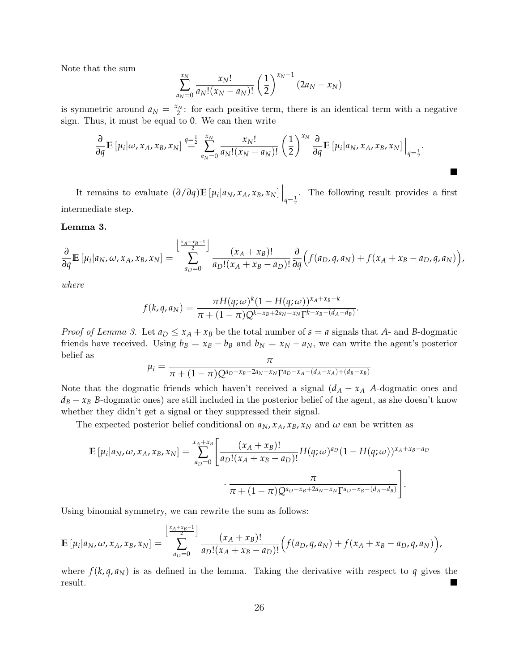Note that the sum

$$
\sum_{a_N=0}^{x_N} \frac{x_N!}{a_N!(x_N-a_N)!} \left(\frac{1}{2}\right)^{x_N-1} (2a_N-x_N)
$$

is symmetric around  $a_N = \frac{x_N}{2}$ : for each positive term, there is an identical term with a negative sign. Thus, it must be equal to 0. We can then write

$$
\frac{\partial}{\partial q}\mathbb{E}\left[\mu_i|\omega,x_A,x_B,x_N\right] \stackrel{q=\frac{1}{2}}{=} \sum_{a_N=0}^{x_N} \frac{x_N!}{a_N!(x_N-a_N)!} \left(\frac{1}{2}\right)^{x_N} \frac{\partial}{\partial q}\mathbb{E}\left[\mu_i|a_N,x_A,x_B,x_N\right]\Big|_{q=\frac{1}{2}}.
$$

 $\blacksquare$ 

It remains to evaluate  $(\partial/\partial q)\mathbb{E}[\mu_i|a_N, x_A, x_B, x_N] \Big|_{q=\frac{1}{2}}$ . The following result provides a first intermediate step.

<span id="page-25-0"></span>Lemma 3.

$$
\frac{\partial}{\partial q}\mathbb{E}\left[\mu_i|a_N,\omega,x_A,x_B,x_N\right] = \sum_{a_D=0}^{\left\lfloor\frac{x_A+x_B-1}{2}\right\rfloor} \frac{(x_A+x_B)!}{a_D!(x_A+x_B-a_D)!} \frac{\partial}{\partial q}\Big(f(a_D,q,a_N) + f(x_A+x_B-a_D,q,a_N)\Big),
$$

where

$$
f(k,q,a_N)=\frac{\pi H(q;\omega)^k(1-H(q;\omega))^{x_A+x_B-k}}{\pi+(1-\pi)Q^{k-x_B+2a_N-x_N}\Gamma^{k-x_B-(d_A-d_B)}}.
$$

*Proof of Lemma [3.](#page-25-0)* Let  $a_D \le x_A + x_B$  be the total number of  $s = a$  signals that A- and B-dogmatic friends have received. Using  $b_B = x_B - b_B$  and  $b_N = x_N - a_N$ , we can write the agent's posterior belief as

$$
\mu_i = \frac{\pi}{\pi + (1 - \pi)Q^{a_D - x_B + 2a_N - x_N \Gamma^{a_D - x_A - (d_A - x_A) + (d_B - x_B)}}
$$

Note that the dogmatic friends which haven't received a signal  $(d_A - x_A A$ -dogmatic ones and  $d_B - x_B$  *B*-dogmatic ones) are still included in the posterior belief of the agent, as she doesn't know whether they didn't get a signal or they suppressed their signal.

The expected posterior belief conditional on  $a_N$ ,  $x_A$ ,  $x_B$ ,  $x_N$  and  $\omega$  can be written as

$$
\mathbb{E} \left[ \mu_i | a_N, \omega, x_A, x_B, x_N \right] = \sum_{a_D=0}^{x_A + x_B} \left[ \frac{(x_A + x_B)!}{a_D! (x_A + x_B - a_D)!} H(q; \omega)^{a_D} (1 - H(q; \omega))^{x_A + x_B - a_D} \right] \cdot \frac{\pi}{\pi + (1 - \pi) Q^{a_D - x_B + 2a_N - x_N} \Gamma^{a_D - x_B - (d_A - d_B)}} \right].
$$

Using binomial symmetry, we can rewrite the sum as follows:

$$
\mathbb{E}\left[\mu_i|a_N,\omega,x_A,x_B,x_N\right] = \sum_{a_D=0}^{\left\lfloor \frac{x_A+x_B-1}{2} \right\rfloor} \frac{(x_A+x_B)!}{a_D!(x_A+x_B-a_D)!} \Big(f(a_D,q,a_N) + f(x_A+x_B-a_D,q,a_N)\Big),
$$

where  $f(k, q, a_N)$  is as defined in the lemma. Taking the derivative with respect to q gives the result.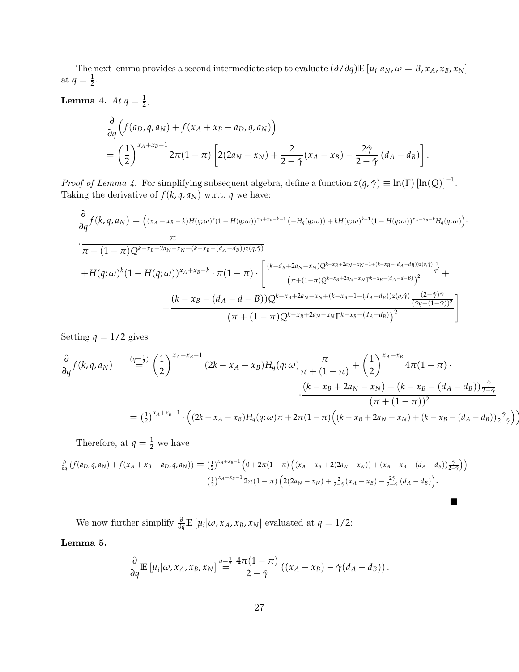The next lemma provides a second intermediate step to evaluate  $(\partial/\partial q)\mathbb{E}[\mu_i|a_N,\omega=B,x_A,x_B,x_N]$ at  $q=\frac{1}{2}$ .

<span id="page-26-0"></span>**Lemma 4.**  $At q = \frac{1}{2}$ ,

$$
\frac{\partial}{\partial q}\Big(f(a_D,q,a_N)+f(x_A+x_B-a_D,q,a_N)\Big) \n= \left(\frac{1}{2}\right)^{x_A+x_B-1} 2\pi(1-\pi)\left[2(2a_N-x_N)+\frac{2}{2-\hat{\gamma}}(x_A-x_B)-\frac{2\hat{\gamma}}{2-\hat{\gamma}}(d_A-d_B)\right].
$$

*Proof of Lemma [4.](#page-26-0)* For simplifying subsequent algebra, define a function  $z(q, \hat{\gamma}) \equiv \ln(\Gamma) [\ln(Q)]^{-1}$ . Taking the derivative of  $f(k, q, a_N)$  w.r.t. *q* we have:

$$
\frac{\partial}{\partial q} f(k, q, a_N) = (x_A + x_B - k)H(q, \omega)^k (1 - H(q, \omega))^{x_A + x_B - k - 1} (-H_q(q, \omega)) + kH(q, \omega)^{k - 1} (1 - H(q, \omega))^{x_A + x_B - k} H_q(q, \omega)).
$$
\n
$$
\frac{\pi}{\pi + (1 - \pi)Q^{k - x_B + 2a_N - x_N + (k - x_B - (d_A - d_B))z(q, \hat{\gamma})}
$$
\n
$$
+ H(q, \omega)^k (1 - H(q, \omega))^{x_A + x_B - k} \cdot \pi (1 - \pi) \cdot \left[ \frac{(k - d_B + 2a_N - x_N)Q^{k - x_B + 2a_N - x_N - 1 + (k - x_B - (d_A - d_B))z(q, \hat{\gamma})}{(\pi + (1 - \pi)Q^{k - x_B + 2a_N - x_N + (k - x_B - 1 - (d_A - d_B))z(q, \hat{\gamma})} \right]^2} + \frac{(k - x_B - (d_A - d - B))Q^{k - x_B + 2a_N - x_N + (k - x_B - 1 - (d_A - d_B))z(q, \hat{\gamma})} (\hat{\gamma}q + (1 - \hat{\gamma}))^2}{(\pi + (1 - \pi)Q^{k - x_B + 2a_N - x_N} \Gamma^{k - x_B - (d_A - d_B)})^2} \right]
$$

Setting  $q = 1/2$  gives

$$
\frac{\partial}{\partial q} f(k, q, a_N) \qquad \stackrel{(q=\frac{1}{2})}{=} \left(\frac{1}{2}\right)^{x_A + x_B - 1} (2k - x_A - x_B) H_q(q; \omega) \frac{\pi}{\pi + (1 - \pi)} + \left(\frac{1}{2}\right)^{x_A + x_B} 4\pi (1 - \pi) \cdot \frac{(k - x_B + 2a_N - x_N) + (k - x_B - (d_A - d_B))\frac{\hat{\gamma}}{2 - \hat{\gamma}}}{(\pi + (1 - \pi))^2}
$$
\n
$$
= \left(\frac{1}{2}\right)^{x_A + x_B - 1} \cdot \left((2k - x_A - x_B) H_q(q; \omega) \pi + 2\pi (1 - \pi) \left((k - x_B + 2a_N - x_N) + (k - x_B - (d_A - d_B))\frac{\hat{\gamma}}{2 - \hat{\gamma}}\right)\right)
$$

 $\blacksquare$ 

Therefore, at  $q = \frac{1}{2}$  we have

$$
\frac{\partial}{\partial q} \left( f(a_D, q, a_N) + f(x_A + x_B - a_D, q, a_N) \right) = \left( \frac{1}{2} \right)^{x_A + x_B - 1} \left( 0 + 2\pi (1 - \pi) \left( (x_A - x_B + 2(2a_N - x_N)) + (x_A - x_B - (d_A - d_B)) \frac{\hat{\gamma}}{2 - \hat{\gamma}} \right) \right)
$$
\n
$$
= \left( \frac{1}{2} \right)^{x_A + x_B - 1} 2\pi (1 - \pi) \left( 2(2a_N - x_N) + \frac{2}{2 - \hat{\gamma}} (x_A - x_B) - \frac{2\hat{\gamma}}{2 - \hat{\gamma}} (d_A - d_B) \right).
$$

We now further simplify  $\frac{\partial}{\partial q} E[\mu_i | \omega, x_A, x_B, x_N]$  evaluated at  $q = 1/2$ :

#### <span id="page-26-1"></span>Lemma 5.

$$
\frac{\partial}{\partial q}\mathbb{E}\left[\mu_i|\omega,x_A,x_B,x_N\right] \stackrel{q=\frac{1}{2}}{=} \frac{4\pi(1-\pi)}{2-\hat{\gamma}}\left((x_A-x_B)-\hat{\gamma}(d_A-d_B)\right).
$$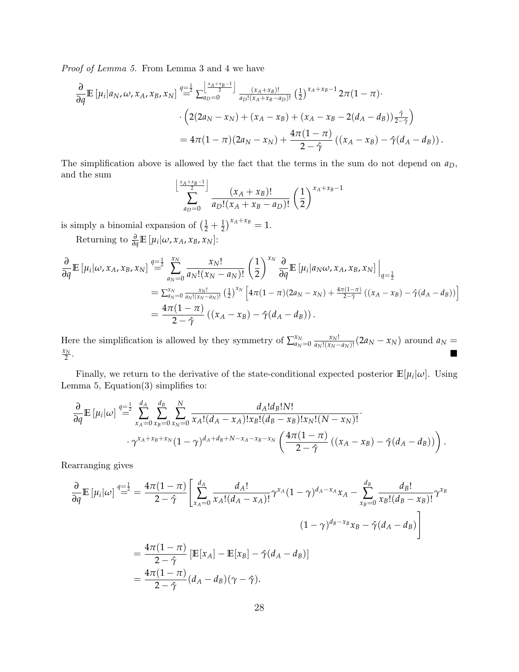Proof of Lemma [5.](#page-26-1) From Lemma [3](#page-25-0) and [4](#page-26-0) we have

$$
\frac{\partial}{\partial q} \mathbb{E} \left[ \mu_i | a_N, \omega, x_A, x_B, x_N \right] \stackrel{q=\frac{1}{2}}{=} \sum_{a_D=0}^{\left\lfloor \frac{x_A + x_B - 1}{2} \right\rfloor} \frac{(x_A + x_B)!}{a_D! (x_A + x_B - a_D)!} \left( \frac{1}{2} \right)^{x_A + x_B - 1} 2\pi (1 - \pi) \cdot \frac{\left( 2(2a_N - x_N) + (x_A - x_B) + (x_A - x_B - 2(d_A - d_B)) \right) \frac{\hat{\gamma}}{2 - \hat{\gamma}}}{} = 4\pi (1 - \pi) (2a_N - x_N) + \frac{4\pi (1 - \pi)}{2 - \hat{\gamma}} \left( (x_A - x_B) - \hat{\gamma}(d_A - d_B) \right).
$$

The simplification above is allowed by the fact that the terms in the sum do not depend on *aD*, and the sum

$$
\sum_{a_D=0}^{\left\lfloor \frac{x_A+x_B-1}{2} \right\rfloor} \frac{(x_A+x_B)!}{a_D!(x_A+x_B-a_D)!} \left(\frac{1}{2}\right)^{x_A+x_B-1}
$$

is simply a binomial expansion of  $\left(\frac{1}{2} + \frac{1}{2}\right)^{x_A + x_B} = 1$ .

Returning to  $\frac{\partial}{\partial q}$ **E** [ $\mu_i | \omega, x_A, x_B, x_N$ ]:

$$
\frac{\partial}{\partial q} \mathbb{E} \left[ \mu_i | \omega, x_A, x_B, x_N \right] \stackrel{q=\frac{1}{2}}{=} \sum_{a_N=0}^{x_N} \frac{x_N!}{a_N! (x_N - a_N)!} \left( \frac{1}{2} \right)^{x_N} \frac{\partial}{\partial q} \mathbb{E} \left[ \mu_i | a_N \omega, x_A, x_B, x_N \right] \Big|_{q=\frac{1}{2}}
$$
\n
$$
= \sum_{a_N=0}^{x_N} \frac{x_N!}{a_N! (x_N - a_N)!} \left( \frac{1}{2} \right)^{x_N} \left[ 4\pi (1 - \pi) (2a_N - x_N) + \frac{4\pi (1 - \pi)}{2 - \hat{\gamma}} \left( (x_A - x_B) - \hat{\gamma} (d_A - d_B) \right) \right]
$$
\n
$$
= \frac{4\pi (1 - \pi)}{2 - \hat{\gamma}} \left( (x_A - x_B) - \hat{\gamma} (d_A - d_B) \right).
$$

Here the simplification is allowed by they symmetry of  $\sum_{\alpha_N}^{x_N}$  $\frac{x_N}{a_N=0} \frac{x_N!}{a_N!(x_N-1)}$  $\frac{x_N!}{a_N!(x_N-a_N)!}$  (2*a*<sub>*N*</sub> − *x*<sub>*N*</sub>) around *a*<sub>*N*</sub> = *x<sup>N</sup>* 2  $\mathcal{L} = \mathcal{L} \left( \mathcal{L} \mathcal{L} \mathcal{L} \mathcal{L} \mathcal{L} \mathcal{L} \mathcal{L} \mathcal{L} \mathcal{L} \mathcal{L} \mathcal{L} \mathcal{L} \mathcal{L} \mathcal{L} \mathcal{L} \mathcal{L} \mathcal{L} \mathcal{L} \mathcal{L} \mathcal{L} \mathcal{L} \mathcal{L} \mathcal{L} \mathcal{L} \mathcal{L} \mathcal{L} \mathcal{L} \mathcal{L} \mathcal{L} \mathcal{L} \mathcal{L} \mathcal{L} \mathcal{L} \mathcal{L}$ 

Finally, we return to the derivative of the state-conditional expected posterior  $\mathbb{E}[\mu_i|\omega]$ . Using Lemma [5,](#page-26-1) Equation[\(3\)](#page-24-1) simplifies to:

$$
\frac{\partial}{\partial q} \mathbb{E} \left[ \mu_i | \omega \right] \stackrel{q=\frac{1}{2}}{=} \sum_{x_A=0}^{d_A} \sum_{x_B=0}^{d_B} \sum_{x_N=0}^N \frac{d_A! d_B! N!}{x_A! (d_A - x_A)! x_B! (d_B - x_B)! x_N! (N - x_N)!} \cdot \gamma^{x_A + x_B + x_N} (1 - \gamma)^{d_A + d_B + N - x_A - x_B - x_N} \left( \frac{4\pi (1 - \pi)}{2 - \hat{\gamma}} \left( (x_A - x_B) - \hat{\gamma} (d_A - d_B) \right) \right).
$$

Rearranging gives

$$
\frac{\partial}{\partial q} \mathbb{E} \left[ \mu_i | \omega \right] \stackrel{q=\frac{1}{2}}{=} \frac{4\pi (1-\pi)}{2-\hat{\gamma}} \left[ \sum_{x_A=0}^{d_A} \frac{d_A!}{x_A!(d_A - x_A)!} \gamma^{x_A} (1-\gamma)^{d_A - x_A} x_A - \sum_{x_B=0}^{d_B} \frac{d_B!}{x_B!(d_B - x_B)!} \gamma^{x_B} \right]
$$
\n
$$
= \frac{4\pi (1-\pi)}{2-\hat{\gamma}} \left[ \mathbb{E}[x_A] - \mathbb{E}[x_B] - \hat{\gamma}(d_A - d_B) \right]
$$
\n
$$
= \frac{4\pi (1-\pi)}{2-\hat{\gamma}} \left[ d_A - d_B \right) (\gamma - \hat{\gamma}).
$$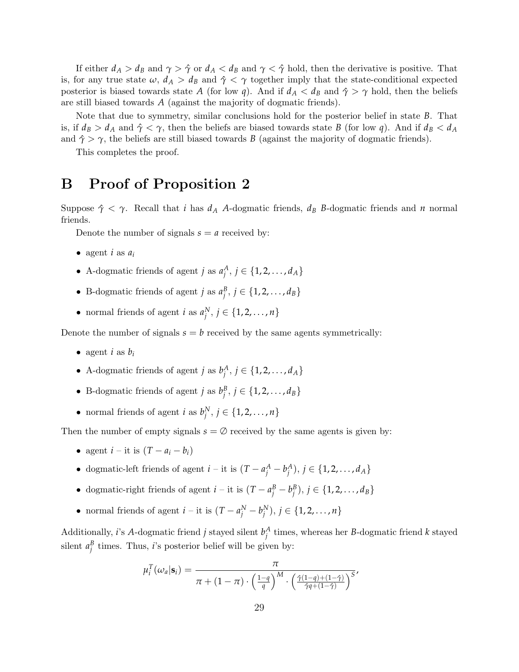If either  $d_A > d_B$  and  $\gamma > \hat{\gamma}$  or  $d_A < d_B$  and  $\gamma < \hat{\gamma}$  hold, then the derivative is positive. That is, for any true state  $\omega$ ,  $d_A > d_B$  and  $\hat{\gamma} < \gamma$  together imply that the state-conditional expected posterior is biased towards state *A* (for low *q*). And if  $d_A < d_B$  and  $\hat{\gamma} > \gamma$  hold, then the beliefs are still biased towards *A* (against the majority of dogmatic friends).

Note that due to symmetry, similar conclusions hold for the posterior belief in state *B*. That is, if  $d_B > d_A$  and  $\hat{\gamma} < \gamma$ , then the beliefs are biased towards state *B* (for low *q*). And if  $d_B < d_A$ and  $\hat{\gamma} > \gamma$ , the beliefs are still biased towards *B* (against the majority of dogmatic friends).

This completes the proof.

### B Proof of Proposition [2](#page-11-0)

Suppose  $\hat{\gamma} < \gamma$ . Recall that *i* has  $d_A$  *A*-dogmatic friends,  $d_B$  *B*-dogmatic friends and *n* normal friends.

Denote the number of signals  $s = a$  received by:

- agent  $i$  as  $a_i$
- A-dogmatic friends of agent *j* as  $a_j^A$ ,  $j \in \{1, 2, ..., d_A\}$
- B-dogmatic friends of agent *j* as  $a_j^B$ ,  $j \in \{1, 2, ..., d_B\}$
- normal friends of agent *i* as  $a_j^N$ ,  $j \in \{1, 2, ..., n\}$

Denote the number of signals  $s = b$  received by the same agents symmetrically:

- agent *i* as  $b_i$
- A-dogmatic friends of agent *j* as  $b_j^A$ ,  $j \in \{1, 2, ..., d_A\}$
- B-dogmatic friends of agent *j* as  $b_j^B$ ,  $j \in \{1, 2, ..., d_B\}$
- normal friends of agent *i* as  $b_j^N$ ,  $j \in \{1, 2, ..., n\}$

Then the number of empty signals  $s = \emptyset$  received by the same agents is given by:

- agent  $i -$ it is  $(T a_i b_i)$
- dogmatic-left friends of agent  $i -$  it is  $(T a_j^A b_j^A)$ ,  $j \in \{1, 2, ..., d_A\}$
- dogmatic-right friends of agent  $i -$  it is  $(T a_j^B b_j^B)$ ,  $j \in \{1, 2, ..., d_B\}$
- normal friends of agent  $i -$  it is  $(T a_j^N b_j^N)$ ,  $j \in \{1, 2, ..., n\}$

Additionally, *i*'s *A*-dogmatic friend *j* stayed silent  $b_j^A$  times, whereas her *B*-dogmatic friend *k* stayed silent  $a_j^B$  times. Thus, *i*'s posterior belief will be given by:

$$
\mu_i^T(\omega_a|\mathbf{s}_i) = \frac{\pi}{\pi + (1-\pi) \cdot \left(\frac{1-q}{q}\right)^M \cdot \left(\frac{\hat{\gamma}(1-q) + (1-\hat{\gamma})}{\hat{\gamma}q + (1-\hat{\gamma})}\right)^S}
$$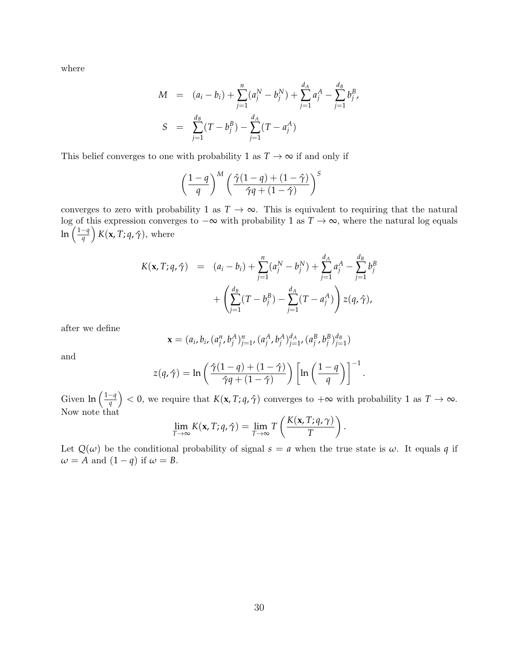where

$$
M = (a_i - b_i) + \sum_{j=1}^{n} (a_j^N - b_j^N) + \sum_{j=1}^{d_A} a_j^A - \sum_{j=1}^{d_B} b_j^B,
$$
  

$$
S = \sum_{j=1}^{d_B} (T - b_j^B) - \sum_{j=1}^{d_A} (T - a_j^A)
$$

This belief converges to one with probability 1 as  $T \to \infty$  if and only if

$$
\left(\frac{1-q}{q}\right)^M \left(\frac{\hat{\gamma}(1-q)+(1-\hat{\gamma})}{\hat{\gamma}q+(1-\hat{\gamma})}\right)^S
$$

converges to zero with probability 1 as  $T \to \infty$ . This is equivalent to requiring that the natural log of this expression converges to −∞ with probability 1 as *T* → ∞, where the natural log equals ln 1−*q q K*(**x**, *T*; *q*, *γ*ˆ), where

$$
K(\mathbf{x}, T; q, \hat{\gamma}) = (a_i - b_i) + \sum_{j=1}^{n} (a_j^N - b_j^N) + \sum_{j=1}^{d_A} a_j^A - \sum_{j=1}^{d_B} b_j^B + \left( \sum_{j=1}^{d_B} (T - b_j^B) - \sum_{j=1}^{d_A} (T - a_j^A) \right) z(q, \hat{\gamma}),
$$

after we define

$$
\mathbf{x} = (a_i, b_i, (a_j^n, b_j^A)_{j=1}^n, (a_j^A, b_j^A)_{j=1}^d, (a_j^B, b_j^B)_{j=1}^d)
$$

and

$$
z(q,\hat{\gamma}) = \ln\left(\frac{\hat{\gamma}(1-q) + (1-\hat{\gamma})}{\hat{\gamma}q + (1-\hat{\gamma})}\right) \left[\ln\left(\frac{1-q}{q}\right)\right]^{-1}.
$$

Given  $\ln\left(\frac{1-q}{q}\right)$  $\left(\frac{-q}{q}\right)$  < 0, we require that  $K(\mathbf{x}, T; q, \hat{\gamma})$  converges to  $+\infty$  with probability 1 as  $T \to \infty$ . Now note that

$$
\lim_{T\to\infty} K(\mathbf{x}, T; q, \hat{\gamma}) = \lim_{T\to\infty} T\left(\frac{K(\mathbf{x}, T; q, \gamma)}{T}\right).
$$

Let  $Q(\omega)$  be the conditional probability of signal  $s = a$  when the true state is  $\omega$ . It equals q if  $\omega = A$  and  $(1 - q)$  if  $\omega = B$ .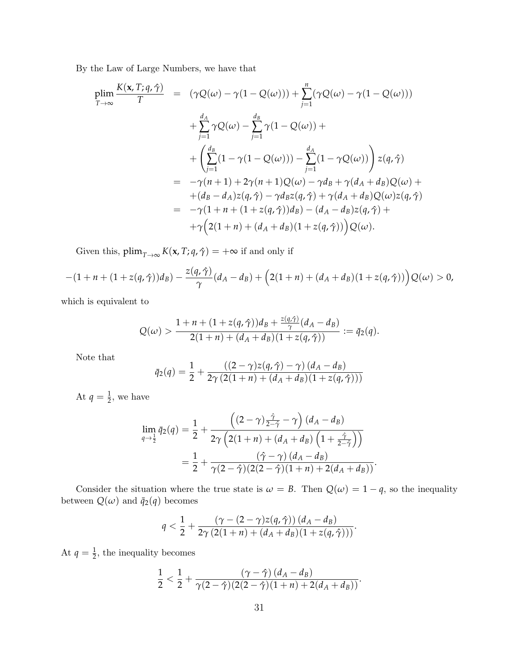By the Law of Large Numbers, we have that

$$
\begin{array}{rcl}\n\text{plim}\,\frac{K(\mathbf{x},T;q,\hat{\gamma})}{T} & = & \left(\gamma Q(\omega)-\gamma(1-Q(\omega))\right) + \sum_{j=1}^{n} \left(\gamma Q(\omega)-\gamma(1-Q(\omega))\right) \\
& & + \sum_{j=1}^{d_A} \gamma Q(\omega) - \sum_{j=1}^{d_B} \gamma(1-Q(\omega)) + \\
& & + \left(\sum_{j=1}^{d_B} (1-\gamma(1-Q(\omega))) - \sum_{j=1}^{d_A} (1-\gamma Q(\omega))\right) z(q,\hat{\gamma}) \\
& = & -\gamma(n+1) + 2\gamma(n+1)Q(\omega) - \gamma d_B + \gamma(d_A + d_B)Q(\omega) + \\
& & + (d_B - d_A)z(q,\hat{\gamma}) - \gamma d_B z(q,\hat{\gamma}) + \gamma(d_A + d_B)Q(\omega)z(q,\hat{\gamma}) \\
& = & -\gamma(1+n+(1+z(q,\hat{\gamma}))d_B) - (d_A - d_B)z(q,\hat{\gamma}) + \\
& & +\gamma\left(2(1+n)+(d_A + d_B)(1+z(q,\hat{\gamma}))\right)Q(\omega).\n\end{array}
$$

Given this,  $\text{plim}_{T\to\infty} K(\mathbf{x}, T; q, \hat{\gamma}) = +\infty$  if and only if

$$
-(1+n+(1+z(q,\hat{\gamma}))d_B)-\frac{z(q,\hat{\gamma})}{\gamma}(d_A-d_B)+\Big(2(1+n)+(d_A+d_B)(1+z(q,\hat{\gamma}))\Big)Q(\omega)>0,
$$

which is equivalent to

$$
Q(\omega) > \frac{1 + n + (1 + z(q, \hat{\gamma}))d_B + \frac{z(q, \hat{\gamma})}{\gamma}(d_A - d_B)}{2(1 + n) + (d_A + d_B)(1 + z(q, \hat{\gamma}))} := \bar{q}_2(q).
$$

Note that

$$
\bar{q}_2(q) = \frac{1}{2} + \frac{((2-\gamma)z(q,\hat{\gamma}) - \gamma)(d_A - d_B)}{2\gamma(2(1+n) + (d_A + d_B)(1 + z(q,\hat{\gamma})))}
$$

At  $q = \frac{1}{2}$ , we have

$$
\lim_{q\to\frac{1}{2}}\bar{q}_2(q)=\frac{1}{2}+\frac{\left((2-\gamma)\frac{\hat{\gamma}}{2-\hat{\gamma}}-\gamma\right)(d_A-d_B)}{2\gamma\left(2(1+n)+(d_A+d_B)\left(1+\frac{\hat{\gamma}}{2-\hat{\gamma}}\right)\right)}
$$

$$
=\frac{1}{2}+\frac{(\hat{\gamma}-\gamma)(d_A-d_B)}{\gamma(2-\hat{\gamma})(2(2-\hat{\gamma})(1+n)+2(d_A+d_B))}.
$$

Consider the situation where the true state is  $\omega = B$ . Then  $Q(\omega) = 1 - q$ , so the inequality between  $Q(\omega)$  and  $\bar{q}_2(q)$  becomes

$$
q<\frac{1}{2}+\frac{(\gamma-(2-\gamma)z(q,\hat{\gamma})) (d_A-d_B)}{2\gamma (2(1+n)+(d_A+d_B)(1+z(q,\hat{\gamma})))}.
$$

At  $q = \frac{1}{2}$ , the inequality becomes

$$
\frac{1}{2}<\frac{1}{2}+\frac{(\gamma-\hat{\gamma})(d_A-d_B)}{\gamma(2-\hat{\gamma})(2(2-\hat{\gamma})(1+n)+2(d_A+d_B))}.
$$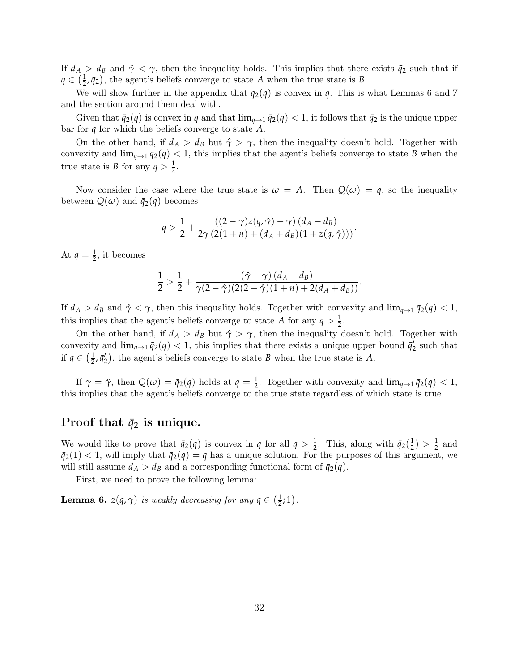If  $d_A > d_B$  and  $\hat{\gamma} < \gamma$ , then the inequality holds. This implies that there exists  $\bar{q}_2$  such that if  $q \in \left(\frac{1}{2}\right)$  $\frac{1}{2}$ ,  $\bar{q}_2$ ), the agent's beliefs converge to state *A* when the true state is *B*.

We will show further in the appendix that  $\bar{q}_2(q)$  is convex in *q*. This is what Lemmas [6](#page-31-0) and [7](#page-33-0) and the section around them deal with.

Given that  $\bar{q}_2(q)$  is convex in *q* and that  $\lim_{q\to 1} \bar{q}_2(q) < 1$ , it follows that  $\bar{q}_2$  is the unique upper bar for *q* for which the beliefs converge to state *A*.

On the other hand, if  $d_A > d_B$  but  $\hat{\gamma} > \gamma$ , then the inequality doesn't hold. Together with convexity and  $\lim_{q\to 1} \bar{q}_2(q) < 1$ , this implies that the agent's beliefs converge to state *B* when the true state is *B* for any  $q > \frac{1}{2}$ .

Now consider the case where the true state is  $\omega = A$ . Then  $Q(\omega) = q$ , so the inequality between  $Q(\omega)$  and  $\bar{q}_2(q)$  becomes

$$
q > \frac{1}{2} + \frac{((2-\gamma)z(q,\hat{\gamma}) - \gamma)(d_A - d_B)}{2\gamma(2(1+n) + (d_A + d_B)(1 + z(q,\hat{\gamma})))}
$$

.

At  $q = \frac{1}{2}$ , it becomes

$$
\frac{1}{2}>\frac{1}{2}+\frac{(\hat{\gamma}-\gamma)(d_A-d_B)}{\gamma(2-\hat{\gamma})(2(2-\hat{\gamma})(1+n)+2(d_A+d_B))}.
$$

If  $d_A > d_B$  and  $\hat{\gamma} < \gamma$ , then this inequality holds. Together with convexity and  $\lim_{q\to 1} \bar{q}_2(q) < 1$ , this implies that the agent's beliefs converge to state *A* for any  $q > \frac{1}{2}$ .

On the other hand, if  $d_A > d_B$  but  $\hat{\gamma} > \gamma$ , then the inequality doesn't hold. Together with convexity and  $\lim_{q\to 1} \bar{q}_2(q) < 1$ , this implies that there exists a unique upper bound  $\bar{q}'_2$  such that if  $q \in \left(\frac{1}{2}\right)$  $\frac{1}{2}$ ,  $\bar{q}'_2$ ), the agent's beliefs converge to state *B* when the true state is *A*.

If  $\gamma = \hat{\gamma}$ , then  $Q(\omega) = \bar{q}_2(q)$  holds at  $q = \frac{1}{2}$ . Together with convexity and  $\lim_{q \to 1} \bar{q}_2(q) < 1$ , this implies that the agent's beliefs converge to the true state regardless of which state is true.

### Proof that  $\bar{q}_2$  is unique.

We would like to prove that  $\bar{q}_2(q)$  is convex in *q* for all  $q > \frac{1}{2}$ . This, along with  $\bar{q}_2(\frac{1}{2})$  $(\frac{1}{2}) > \frac{1}{2}$  and  $\bar{q}_2(1) < 1$ , will imply that  $\bar{q}_2(q) = q$  has a unique solution. For the purposes of this argument, we will still assume  $d_A > d_B$  and a corresponding functional form of  $\bar{q}_2(q)$ .

First, we need to prove the following lemma:

<span id="page-31-0"></span>**Lemma 6.**  $z(q, \gamma)$  is weakly decreasing for any  $q \in (\frac{1}{2})$  $(\frac{1}{2};1)$ .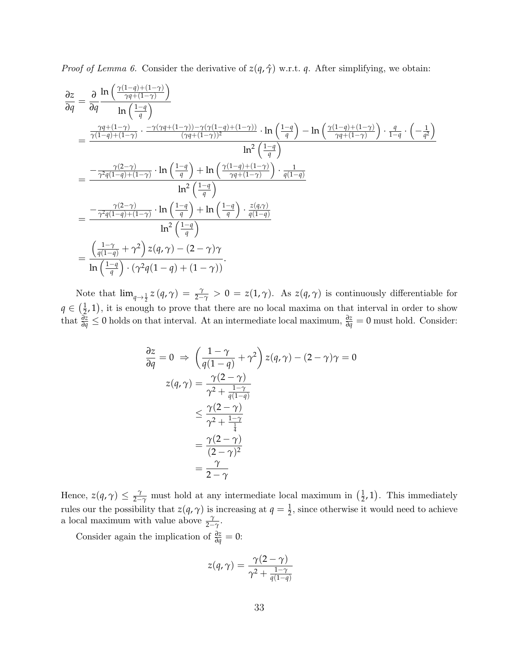*Proof of Lemma [6.](#page-31-0)* Consider the derivative of  $z(q, \hat{\gamma})$  w.r.t. *q*. After simplifying, we obtain:

$$
\frac{\partial z}{\partial q} = \frac{\partial}{\partial q} \frac{\ln\left(\frac{\gamma(1-q)+(1-\gamma)}{\gamma q+(1-\gamma)}\right)}{\ln\left(\frac{1-q}{q}\right)}
$$
\n
$$
= \frac{\frac{\gamma q+(1-\gamma)}{\gamma(1-q)+(1-\gamma)} \cdot \frac{-\gamma(\gamma q+(1-\gamma))-\gamma(\gamma(1-q)+(1-\gamma))}{(\gamma q+(1-\gamma))^2} \cdot \ln\left(\frac{1-q}{q}\right) - \ln\left(\frac{\gamma(1-q)+(1-\gamma)}{\gamma q+(1-\gamma)}\right) \cdot \frac{q}{1-q} \cdot \left(-\frac{1}{q^2}\right)}{\ln^2\left(\frac{1-q}{q}\right)}
$$
\n
$$
= \frac{-\frac{\gamma(2-\gamma)}{\gamma^2 q(1-q)+(1-\gamma)} \cdot \ln\left(\frac{1-q}{q}\right) + \ln\left(\frac{\gamma(1-q)+(1-\gamma)}{\gamma q+(1-\gamma)}\right) \cdot \frac{1}{q(1-q)}}{\ln^2\left(\frac{1-q}{q}\right)}
$$
\n
$$
= \frac{-\frac{\gamma(2-\gamma)}{\gamma^2 q(1-q)+(1-\gamma)} \cdot \ln\left(\frac{1-q}{q}\right) + \ln\left(\frac{1-q}{q}\right) \cdot \frac{z(q,\gamma)}{q(1-q)}}{\ln^2\left(\frac{1-q}{q}\right)}
$$
\n
$$
= \frac{\left(\frac{1-\gamma}{q(1-q)} + \gamma^2\right) z(q,\gamma) - (2-\gamma)\gamma}{\ln\left(\frac{1-q}{q}\right) \cdot (\gamma^2 q(1-q)+(1-\gamma))}.
$$

Note that  $\lim_{q\to\frac{1}{2}} z(q,\gamma) = \frac{\gamma}{2-\gamma} > 0 = z(1,\gamma)$ . As  $z(q,\gamma)$  is continuously differentiable for  $q \in (\frac{1}{2}, 1),$  it is enough  $(\frac{1}{2},1)$ , it is enough to prove that there are no local maxima on that interval in order to show that *<sup>∂</sup><sup>z</sup> <sup>∂</sup><sup>q</sup>* <sup>≤</sup> <sup>0</sup> holds on that interval. At an intermediate local maximum, *<sup>∂</sup><sup>z</sup> <sup>∂</sup><sup>q</sup>* = 0 must hold. Consider:

$$
\frac{\partial z}{\partial q} = 0 \implies \left(\frac{1-\gamma}{q(1-q)} + \gamma^2\right) z(q, \gamma) - (2-\gamma)\gamma = 0
$$

$$
z(q, \gamma) = \frac{\gamma(2-\gamma)}{\gamma^2 + \frac{1-\gamma}{q(1-q)}}
$$

$$
\leq \frac{\gamma(2-\gamma)}{\gamma^2 + \frac{1-\gamma}{\frac{1}{4}}}
$$

$$
= \frac{\gamma(2-\gamma)}{(2-\gamma)^2}
$$

$$
= \frac{\gamma}{2-\gamma}
$$

Hence,  $z(q, \gamma) \leq \frac{\gamma}{2-\gamma}$  must hold at any intermediate local maximum in  $(\frac{1}{2})$  $(\frac{1}{2}, 1)$ . This immediately rules our the possibility that  $z(q, \gamma)$  is increasing at  $q = \frac{1}{2}$ , since otherwise it would need to achieve a local maximum with value above  $\frac{\gamma}{2-\gamma}$ .

Consider again the implication of  $\frac{\partial z}{\partial q} = 0$ :

$$
z(q,\gamma) = \frac{\gamma(2-\gamma)}{\gamma^2 + \frac{1-\gamma}{q(1-q)}}
$$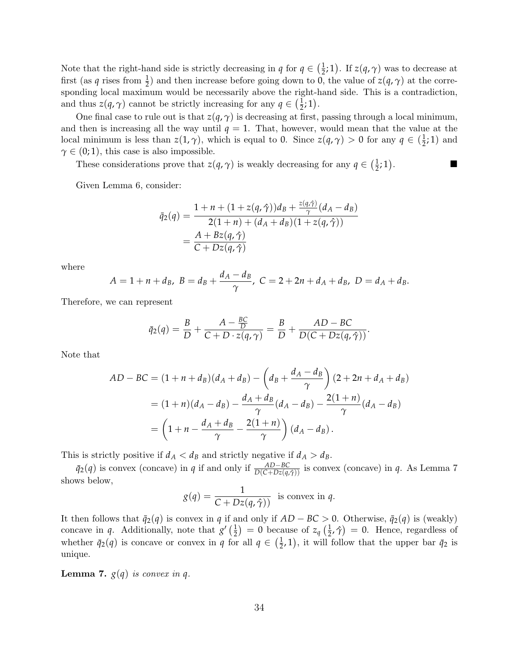Note that the right-hand side is strictly decreasing in *q* for  $q \in \left(\frac{1}{2}\right)$  $(\frac{1}{2};1)$ . If  $z(q,\gamma)$  was to decrease at first (as *q* rises from  $\frac{1}{2}$ ) and then increase before going down to 0, the value of  $z(q, \gamma)$  at the corresponding local maximum would be necessarily above the right-hand side. This is a contradiction, and thus  $z(q, \gamma)$  cannot be strictly increasing for any  $q \in \left(\frac{1}{2}\right)$  $(\frac{1}{2};1).$ 

One final case to rule out is that  $z(q, \gamma)$  is decreasing at first, passing through a local minimum, and then is increasing all the way until  $q = 1$ . That, however, would mean that the value at the local minimum is less than  $z(1, \gamma)$ , which is equal to 0. Since  $z(q, \gamma) > 0$  for any  $q \in (\frac{1}{2})$  $(\frac{1}{2},1)$  and  $\gamma \in (0, 1)$ , this case is also impossible.

These considerations prove that  $z(q, \gamma)$  is weakly decreasing for any  $q \in \left(\frac{1}{2}\right)$  $(\frac{1}{2}, 1)$ .

Given Lemma [6,](#page-31-0) consider:

$$
\bar{q}_2(q) = \frac{1 + n + (1 + z(q, \hat{\gamma}))d_B + \frac{z(q, \hat{\gamma})}{\gamma}(d_A - d_B)}{2(1 + n) + (d_A + d_B)(1 + z(q, \hat{\gamma}))}
$$
  
= 
$$
\frac{A + Bz(q, \hat{\gamma})}{C + Dz(q, \hat{\gamma})}
$$

*z*(*q*,*γ*ˆ)

where

$$
A = 1 + n + d_B, \ B = d_B + \frac{d_A - d_B}{\gamma}, \ C = 2 + 2n + d_A + d_B, \ D = d_A + d_B.
$$

Therefore, we can represent

$$
\bar{q}_2(q) = \frac{B}{D} + \frac{A - \frac{BC}{D}}{C + D \cdot z(q, \gamma)} = \frac{B}{D} + \frac{AD - BC}{D(C + Dz(q, \hat{\gamma}))}.
$$

Note that

$$
AD - BC = (1 + n + d_B)(d_A + d_B) - \left(d_B + \frac{d_A - d_B}{\gamma}\right)(2 + 2n + d_A + d_B)
$$
  
=  $(1 + n)(d_A - d_B) - \frac{d_A + d_B}{\gamma}(d_A - d_B) - \frac{2(1 + n)}{\gamma}(d_A - d_B)$   
=  $\left(1 + n - \frac{d_A + d_B}{\gamma} - \frac{2(1 + n)}{\gamma}\right)(d_A - d_B).$ 

This is strictly positive if  $d_A < d_B$  and strictly negative if  $d_A > d_B$ .

 $\bar{q}_2(q)$  is convex (concave) in *q* if and only if  $\frac{AD - BC}{D(C + Dz(q, \hat{\gamma}))}$  is convex (concave) in *q*. As Lemma [7](#page-33-0) shows below,

$$
g(q) = \frac{1}{C + Dz(q, \hat{\gamma})}
$$
 is convex in q.

It then follows that  $\bar{q}_2(q)$  is convex in *q* if and only if  $AD - BC > 0$ . Otherwise,  $\bar{q}_2(q)$  is (weakly) concave in *q*. Additionally, note that  $g'(\frac{1}{2})$  $(\frac{1}{2})$  = 0 because of  $z_q$   $(\frac{1}{2})$  $(\frac{1}{2}, \hat{\gamma}) = 0$ . Hence, regardless of whether  $\bar{q}_2(q)$  is concave or convex in *q* for all  $q \in \left(\frac{1}{2}\right)$  $(\frac{1}{2}, 1)$ , it will follow that the upper bar  $\bar{q}_2$  is unique.

<span id="page-33-0"></span>**Lemma 7.**  $g(q)$  is convex in q.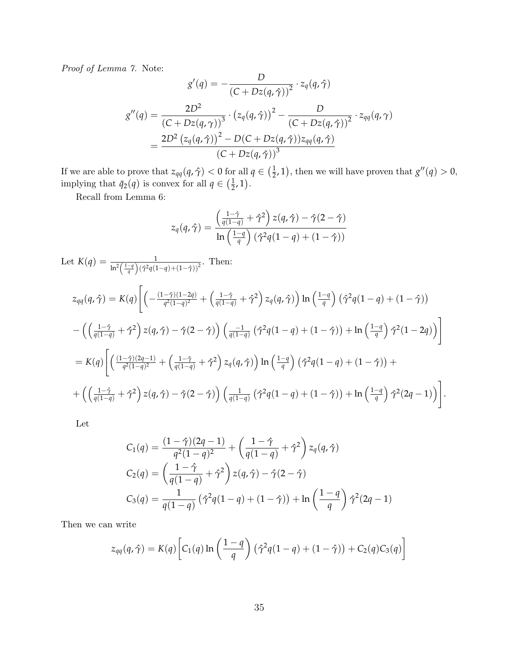Proof of Lemma [7.](#page-33-0) Note:

$$
g'(q) = -\frac{D}{(C + Dz(q, \hat{\gamma}))^2} \cdot z_q(q, \hat{\gamma})
$$

$$
g''(q) = \frac{2D^2}{(C + Dz(q, \gamma))^3} \cdot (z_q(q, \hat{\gamma}))^2 - \frac{D}{(C + Dz(q, \hat{\gamma}))^2} \cdot z_{qq}(q, \gamma)
$$

$$
= \frac{2D^2 (z_q(q, \hat{\gamma}))^2 - D(C + Dz(q, \hat{\gamma})) z_{qq}(q, \hat{\gamma})}{(C + Dz(q, \hat{\gamma}))^3}
$$

If we are able to prove that  $z_{qq}(q, \hat{\gamma}) < 0$  for all  $q \in (\frac{1}{2})$  $(\frac{1}{2}, 1)$ , then we will have proven that  $g''(q) > 0$ , implying that  $\bar{q}_2(q)$  is convex for all  $q \in \left(\frac{1}{2}\right)$  $(\frac{1}{2}, 1).$ 

Recall from Lemma [6:](#page-31-0)

$$
z_q(q,\hat{\gamma}) = \frac{\left(\frac{1-\hat{\gamma}}{q(1-q)} + \hat{\gamma}^2\right) z(q,\hat{\gamma}) - \hat{\gamma}(2-\hat{\gamma})}{\ln\left(\frac{1-q}{q}\right) (\hat{\gamma}^2 q(1-q) + (1-\hat{\gamma}))}
$$

Let 
$$
K(q) = \frac{1}{\ln^2(\frac{1-q}{q})(\hat{\gamma}^2 q (1-q) + (1-\hat{\gamma}))^2}
$$
. Then:  
\n
$$
z_{qq}(q, \hat{\gamma}) = K(q) \Bigg[ \Big( -\frac{(1-\hat{\gamma})(1-2q)}{q^2(1-q)^2} + \Big(\frac{1-\hat{\gamma}}{q(1-q)} + \hat{\gamma}^2\Big) z_q(q, \hat{\gamma}) \Big) \ln\left(\frac{1-q}{q}\right) (\hat{\gamma}^2 q (1-q) + (1-\hat{\gamma}))
$$
\n
$$
- \Big( \Big(\frac{1-\hat{\gamma}}{q(1-q)} + \hat{\gamma}^2\Big) z(q, \hat{\gamma}) - \hat{\gamma}(2-\hat{\gamma}) \Big) \Big(\frac{-1}{q(1-q)} (\hat{\gamma}^2 q (1-q) + (1-\hat{\gamma})) + \ln\left(\frac{1-q}{q}\right) \hat{\gamma}^2 (1-2q) \Big) \Bigg]
$$
\n
$$
= K(q) \Bigg[ \Big( \frac{(1-\hat{\gamma})(2q-1)}{q^2(1-q)^2} + \Big(\frac{1-\hat{\gamma}}{q(1-q)} + \hat{\gamma}^2\Big) z_q(q, \hat{\gamma}) \Big) \ln\left(\frac{1-q}{q}\right) (\hat{\gamma}^2 q (1-q) + (1-\hat{\gamma})) +
$$
\n
$$
+ \Big( \Big(\frac{1-\hat{\gamma}}{q(1-q)} + \hat{\gamma}^2\Big) z(q, \hat{\gamma}) - \hat{\gamma}(2-\hat{\gamma}) \Big) \Big(\frac{1}{q(1-q)} (\hat{\gamma}^2 q (1-q) + (1-\hat{\gamma})) + \ln\left(\frac{1-q}{q}\right) \hat{\gamma}^2 (2q-1) \Big) \Bigg].
$$

Let

$$
C_1(q) = \frac{(1-\hat{\gamma})(2q-1)}{q^2(1-q)^2} + \left(\frac{1-\hat{\gamma}}{q(1-q)} + \hat{\gamma}^2\right) z_q(q, \hat{\gamma})
$$
  
\n
$$
C_2(q) = \left(\frac{1-\hat{\gamma}}{q(1-q)} + \hat{\gamma}^2\right) z(q, \hat{\gamma}) - \hat{\gamma}(2-\hat{\gamma})
$$
  
\n
$$
C_3(q) = \frac{1}{q(1-q)} \left(\hat{\gamma}^2 q(1-q) + (1-\hat{\gamma})\right) + \ln\left(\frac{1-q}{q}\right) \hat{\gamma}^2(2q-1)
$$

Then we can write

$$
z_{qq}(q,\hat{\gamma}) = K(q) \left[ C_1(q) \ln \left( \frac{1-q}{q} \right) \left( \hat{\gamma}^2 q (1-q) + (1-\hat{\gamma}) \right) + C_2(q) C_3(q) \right]
$$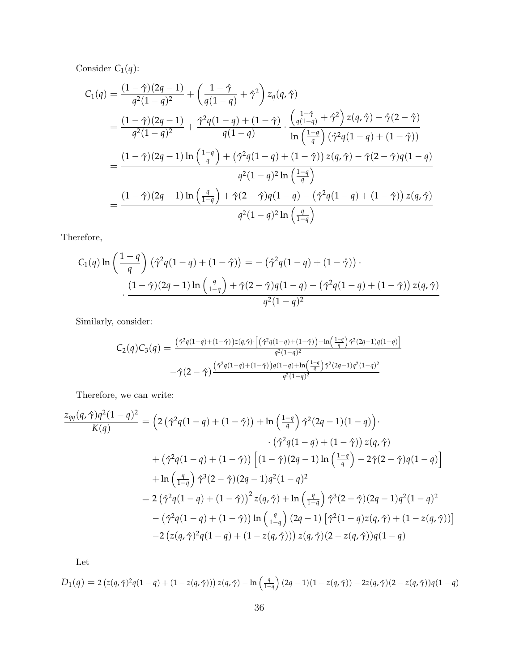Consider  $C_1(q)$ :

$$
C_1(q) = \frac{(1-\hat{\gamma})(2q-1)}{q^2(1-q)^2} + \left(\frac{1-\hat{\gamma}}{q(1-q)} + \hat{\gamma}^2\right) z_q(q, \hat{\gamma})
$$
  
= 
$$
\frac{(1-\hat{\gamma})(2q-1)}{q^2(1-q)^2} + \frac{\hat{\gamma}^2 q(1-q) + (1-\hat{\gamma})}{q(1-q)} \cdot \frac{\left(\frac{1-\hat{\gamma}}{q(1-q)} + \hat{\gamma}^2\right) z(q, \hat{\gamma}) - \hat{\gamma}(2-\hat{\gamma})}{\ln\left(\frac{1-q}{q}\right) (\hat{\gamma}^2 q(1-q) + (1-\hat{\gamma}))}
$$
  
= 
$$
\frac{(1-\hat{\gamma})(2q-1)\ln\left(\frac{1-q}{q}\right) + (\hat{\gamma}^2 q(1-q) + (1-\hat{\gamma})) z(q, \hat{\gamma}) - \hat{\gamma}(2-\hat{\gamma}) q(1-q)}{q^2(1-q)^2 \ln\left(\frac{1-q}{q}\right)}
$$
  
= 
$$
\frac{(1-\hat{\gamma})(2q-1)\ln\left(\frac{q}{1-q}\right) + \hat{\gamma}(2-\hat{\gamma}) q(1-q) - (\hat{\gamma}^2 q(1-q) + (1-\hat{\gamma})) z(q, \hat{\gamma})}{q^2(1-q)^2 \ln\left(\frac{q}{1-q}\right)}
$$

Therefore,

$$
C_1(q)\ln\left(\frac{1-q}{q}\right)(\hat{\gamma}^2q(1-q)+(1-\hat{\gamma})) = -(\hat{\gamma}^2q(1-q)+(1-\hat{\gamma}))
$$

$$
\cdot \frac{(1-\hat{\gamma})(2q-1)\ln\left(\frac{q}{1-q}\right)+\hat{\gamma}(2-\hat{\gamma})q(1-q)-(\hat{\gamma}^2q(1-q)+(1-\hat{\gamma}))z(q,\hat{\gamma})}{q^2(1-q)^2}
$$

Similarly, consider:

$$
C_2(q)C_3(q) = \frac{(\hat{\gamma}^2 q(1-q) + (1-\hat{\gamma}))z(q,\hat{\gamma}) \cdot \left[ (\hat{\gamma}^2 q(1-q) + (1-\hat{\gamma})) + \ln\left(\frac{1-q}{q}\right) \hat{\gamma}^2 (2q-1)q(1-q)\right]}{q^2(1-q)^2}
$$

$$
-\hat{\gamma}(2-\hat{\gamma}) \frac{(\hat{\gamma}^2 q(1-q) + (1-\hat{\gamma}))q(1-q) + \ln\left(\frac{1-q}{q}\right) \hat{\gamma}^2 (2q-1)q^2(1-q)^2}{q^2(1-q)^2}
$$

Therefore, we can write:

$$
\frac{z_{qq}(q,\hat{\gamma})q^2(1-q)^2}{K(q)} = \left(2(\hat{\gamma}^2q(1-q) + (1-\hat{\gamma})) + \ln\left(\frac{1-q}{q}\right)\hat{\gamma}^2(2q-1)(1-q)\right) \cdot \left(\hat{\gamma}^2q(1-q) + (1-\hat{\gamma})\right)z(q,\hat{\gamma})
$$

$$
+ (\hat{\gamma}^2q(1-q) + (1-\hat{\gamma}))\left[(1-\hat{\gamma})(2q-1)\ln\left(\frac{1-q}{q}\right) - 2\hat{\gamma}(2-\hat{\gamma})q(1-q)\right]
$$

$$
+ \ln\left(\frac{q}{1-q}\right)\hat{\gamma}^3(2-\hat{\gamma})(2q-1)q^2(1-q)^2
$$

$$
= 2(\hat{\gamma}^2q(1-q) + (1-\hat{\gamma}))^2z(q,\hat{\gamma}) + \ln\left(\frac{q}{1-q}\right)\hat{\gamma}^3(2-\hat{\gamma})(2q-1)q^2(1-q)^2
$$

$$
- (\hat{\gamma}^2q(1-q) + (1-\hat{\gamma}))\ln\left(\frac{q}{1-q}\right)(2q-1)\left[\hat{\gamma}^2(1-q)z(q,\hat{\gamma}) + (1-z(q,\hat{\gamma}))\right]
$$

$$
- 2(z(q,\hat{\gamma})^2q(1-q) + (1-z(q,\hat{\gamma})))z(q,\hat{\gamma})(2-z(q,\hat{\gamma}))q(1-q)
$$

Let

$$
D_1(q) = 2(z(q,\hat{\gamma})^2 q(1-q) + (1 - z(q,\hat{\gamma}))) z(q,\hat{\gamma}) - \ln\left(\frac{q}{1-q}\right)(2q-1)(1 - z(q,\hat{\gamma})) - 2z(q,\hat{\gamma})(2 - z(q,\hat{\gamma}))q(1-q)
$$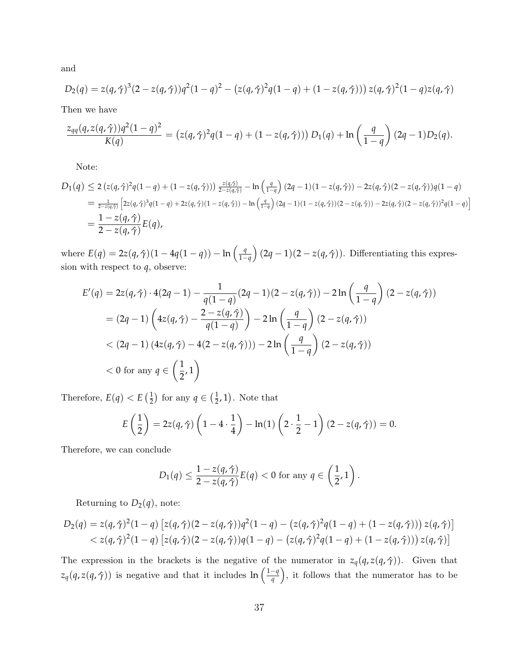and

$$
D_2(q) = z(q, \hat{\gamma})^3 (2 - z(q, \hat{\gamma})) q^2 (1 - q)^2 - (z(q, \hat{\gamma})^2 q (1 - q) + (1 - z(q, \hat{\gamma}))) z(q, \hat{\gamma})^2 (1 - q) z(q, \hat{\gamma})
$$

Then we have

$$
\frac{z_{qq}(q, z(q, \hat{\gamma}))q^2(1-q)^2}{K(q)} = (z(q, \hat{\gamma})^2 q(1-q) + (1 - z(q, \hat{\gamma}))) D_1(q) + \ln\left(\frac{q}{1-q}\right) (2q-1)D_2(q).
$$

Note:

$$
D_1(q) \le 2 (z(q, \hat{\gamma})^2 q(1-q) + (1 - z(q, \hat{\gamma}))) \frac{z(q, \hat{\gamma})}{2 - z(q, \hat{\gamma})} - \ln\left(\frac{q}{1-q}\right) (2q - 1)(1 - z(q, \hat{\gamma})) - 2z(q, \hat{\gamma})(2 - z(q, \hat{\gamma}))q(1-q)
$$
  
=  $\frac{1}{2 - z(q, \hat{\gamma})} \left[ 2z(q, \hat{\gamma})^3 q(1-q) + 2z(q, \hat{\gamma})(1 - z(q, \hat{\gamma})) - \ln\left(\frac{q}{1-q}\right) (2q - 1)(1 - z(q, \hat{\gamma}))(2 - z(q, \hat{\gamma})) - 2z(q, \hat{\gamma})(2 - z(q, \hat{\gamma}))^2 q(1-q) \right]$   
=  $\frac{1 - z(q, \hat{\gamma})}{2 - z(q, \hat{\gamma})} E(q),$ 

where  $E(q) = 2z(q, \hat{\gamma})(1 - 4q(1 - q)) - \ln\left(\frac{q}{1 - q}\right)$  $\frac{q}{1-q}$  (2*q* − 1)(2 − *z*(*q*,  $\hat{\gamma}$ )). Differentiating this expression with respect to *q*, observe:

$$
E'(q) = 2z(q, \hat{\gamma}) \cdot 4(2q - 1) - \frac{1}{q(1 - q)}(2q - 1)(2 - z(q, \hat{\gamma})) - 2\ln\left(\frac{q}{1 - q}\right)(2 - z(q, \hat{\gamma}))
$$
  
=  $(2q - 1)\left(4z(q, \hat{\gamma}) - \frac{2 - z(q, \hat{\gamma})}{q(1 - q)}\right) - 2\ln\left(\frac{q}{1 - q}\right)(2 - z(q, \hat{\gamma}))$   
<  $(2q - 1)(4z(q, \hat{\gamma}) - 4(2 - z(q, \hat{\gamma}))) - 2\ln\left(\frac{q}{1 - q}\right)(2 - z(q, \hat{\gamma}))$   
< 0 for any  $q \in \left(\frac{1}{2}, 1\right)$ 

Therefore,  $E(q) < E\left(\frac{1}{2}\right)$  $(\frac{1}{2})$  for any  $q \in (\frac{1}{2})$  $(\frac{1}{2}, 1)$ . Note that

$$
E\left(\frac{1}{2}\right) = 2z(q,\hat{\gamma})\left(1 - 4 \cdot \frac{1}{4}\right) - \ln(1)\left(2 \cdot \frac{1}{2} - 1\right)(2 - z(q,\hat{\gamma})) = 0.
$$

Therefore, we can conclude

$$
D_1(q) \leq \frac{1-z(q,\hat{\gamma})}{2-z(q,\hat{\gamma})} E(q) < 0 \text{ for any } q \in \left(\frac{1}{2},1\right).
$$

Returning to  $D_2(q)$ , note:

$$
D_2(q) = z(q, \hat{\gamma})^2 (1-q) \left[ z(q, \hat{\gamma}) (2 - z(q, \hat{\gamma})) q^2 (1-q) - (z(q, \hat{\gamma})^2 q (1-q) + (1 - z(q, \hat{\gamma}))) z(q, \hat{\gamma}) \right] < z(q, \hat{\gamma})^2 (1-q) \left[ z(q, \hat{\gamma}) (2 - z(q, \hat{\gamma})) q (1-q) - (z(q, \hat{\gamma})^2 q (1-q) + (1 - z(q, \hat{\gamma}))) z(q, \hat{\gamma}) \right]
$$

The expression in the brackets is the negative of the numerator in  $z_q(q, z(q, \hat{\gamma}))$ . Given that  $z_q(q, z(q, \hat{\gamma}))$  is negative and that it includes ln  $\left(\frac{1-q}{q}\right)$  $\left(\frac{-q}{q}\right)$ , it follows that the numerator has to be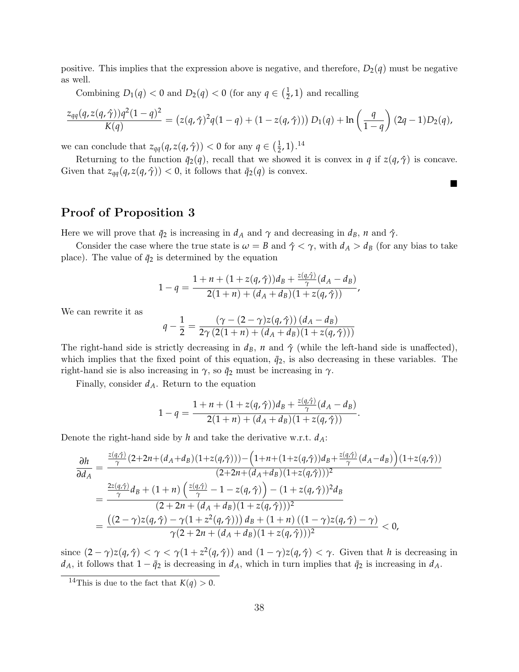positive. This implies that the expression above is negative, and therefore,  $D_2(q)$  must be negative as well.

Combining  $D_1(q) < 0$  and  $D_2(q) < 0$  (for any  $q \in \left(\frac{1}{2}\right)$  $(\frac{1}{2}, 1)$  and recalling

$$
\frac{z_{qq}(q, z(q, \hat{\gamma}))q^2(1-q)^2}{K(q)} = (z(q, \hat{\gamma})^2 q(1-q) + (1 - z(q, \hat{\gamma}))) D_1(q) + \ln\left(\frac{q}{1-q}\right) (2q-1)D_2(q),
$$

we can conclude that  $z_{qq}(q, z(q, \hat{\gamma})) < 0$  for any  $q \in (\frac{1}{2})$  $(\frac{1}{2}, 1).^{14}$  $(\frac{1}{2}, 1).^{14}$  $(\frac{1}{2}, 1).^{14}$ 

Returning to the function  $\bar{q}_2(q)$ , recall that we showed it is convex in *q* if  $z(q, \hat{\gamma})$  is concave. Given that  $z_{qq}(q, z(q, \hat{\gamma})) < 0$ , it follows that  $\bar{q}_2(q)$  is convex.

 $\blacksquare$ 

### Proof of Proposition [3](#page-12-1)

Here we will prove that  $\bar{q}_2$  is increasing in  $d_A$  and  $\gamma$  and decreasing in  $d_B$ , *n* and  $\hat{\gamma}$ .

Consider the case where the true state is  $\omega = B$  and  $\hat{\gamma} < \gamma$ , with  $d_A > d_B$  (for any bias to take place). The value of  $\bar{q}_2$  is determined by the equation

$$
1 - q = \frac{1 + n + (1 + z(q, \hat{\gamma}))d_B + \frac{z(q, \hat{\gamma})}{\gamma}(d_A - d_B)}{2(1 + n) + (d_A + d_B)(1 + z(q, \hat{\gamma}))},
$$

We can rewrite it as

$$
q - \frac{1}{2} = \frac{(\gamma - (2 - \gamma)z(q, \hat{\gamma})) (d_A - d_B)}{2\gamma (2(1 + n) + (d_A + d_B)(1 + z(q, \hat{\gamma})))}
$$

The right-hand side is strictly decreasing in  $d_B$ , *n* and  $\hat{\gamma}$  (while the left-hand side is unaffected), which implies that the fixed point of this equation,  $\bar{q}_2$ , is also decreasing in these variables. The right-hand sie is also increasing in  $\gamma$ , so  $\bar{q}_2$  must be increasing in  $\gamma$ .

Finally, consider *dA*. Return to the equation

$$
1 - q = \frac{1 + n + (1 + z(q, \hat{\gamma}))d_B + \frac{z(q, \hat{\gamma})}{\gamma}(d_A - d_B)}{2(1 + n) + (d_A + d_B)(1 + z(q, \hat{\gamma}))}.
$$

Denote the right-hand side by *h* and take the derivative w.r.t. *dA*:

$$
\frac{\partial h}{\partial d_{A}} = \frac{\frac{z(q,\hat{\gamma})}{\gamma}(2+2n+(d_{A}+d_{B})(1+z(q,\hat{\gamma}))) - (1+n+(1+z(q,\hat{\gamma}))d_{B} + \frac{z(q,\hat{\gamma})}{\gamma}(d_{A}-d_{B})) (1+z(q,\hat{\gamma}))}{(2+2n+(d_{A}+d_{B})(1+z(q,\hat{\gamma})))^{2}}
$$
\n
$$
= \frac{\frac{2z(q,\hat{\gamma})}{\gamma}d_{B} + (1+n)\left(\frac{z(q,\hat{\gamma})}{\gamma} - 1 - z(q,\hat{\gamma})\right) - (1+z(q,\hat{\gamma}))^{2}d_{B}}{(2+2n+(d_{A}+d_{B})(1+z(q,\hat{\gamma})))^{2}}
$$
\n
$$
= \frac{((2-\gamma)z(q,\hat{\gamma}) - \gamma(1+z^{2}(q,\hat{\gamma}))) d_{B} + (1+n)((1-\gamma)z(q,\hat{\gamma}) - \gamma)}{\gamma(2+2n+(d_{A}+d_{B})(1+z(q,\hat{\gamma})))^{2}} < 0,
$$

since  $(2 - \gamma)z(q, \hat{\gamma}) < \gamma < \gamma(1 + z^2(q, \hat{\gamma}))$  and  $(1 - \gamma)z(q, \hat{\gamma}) < \gamma$ . Given that *h* is decreasing in  $d_A$ , it follows that  $1 - \bar{q}_2$  is decreasing in  $d_A$ , which in turn implies that  $\bar{q}_2$  is increasing in  $d_A$ .

<span id="page-37-0"></span><sup>&</sup>lt;sup>14</sup>This is due to the fact that  $K(q) > 0$ .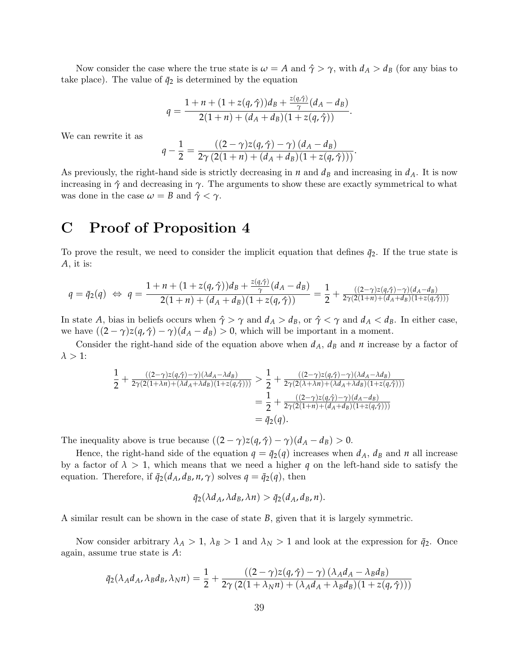Now consider the case where the true state is  $\omega = A$  and  $\hat{\gamma} > \gamma$ , with  $d_A > d_B$  (for any bias to take place). The value of  $\bar{q}_2$  is determined by the equation

$$
q=\frac{1+n+(1+z(q,\hat{\gamma}))d_B+\frac{z(q,\hat{\gamma})}{\gamma}(d_A-d_B)}{2(1+n)+(d_A+d_B)(1+z(q,\hat{\gamma}))}.
$$

We can rewrite it as

$$
q-\frac{1}{2}=\frac{((2-\gamma)z(q,\hat{\gamma})-\gamma)(d_A-d_B)}{2\gamma(2(1+n)+(d_A+d_B)(1+z(q,\hat{\gamma})))}.
$$

As previously, the right-hand side is strictly decreasing in  $n$  and  $d<sub>B</sub>$  and increasing in  $d<sub>A</sub>$ . It is now increasing in  $\hat{\gamma}$  and decreasing in  $\gamma$ . The arguments to show these are exactly symmetrical to what was done in the case  $\omega = B$  and  $\hat{\gamma} < \gamma$ .

### C Proof of Proposition [4](#page-13-0)

To prove the result, we need to consider the implicit equation that defines  $\bar{q}_2$ . If the true state is *A*, it is:

*z*(*q*,*γ*ˆ)

$$
q = \bar{q}_2(q) \iff q = \frac{1 + n + (1 + z(q, \hat{\gamma}))d_B + \frac{z(q, \hat{\gamma})}{\gamma}(d_A - d_B)}{2(1 + n) + (d_A + d_B)(1 + z(q, \hat{\gamma}))} = \frac{1}{2} + \frac{((2 - \gamma)z(q, \hat{\gamma}) - \gamma)(d_A - d_B)}{2\gamma(2(1 + n) + (d_A + d_B)(1 + z(q, \hat{\gamma})))}
$$

In state *A*, bias in beliefs occurs when  $\hat{\gamma} > \gamma$  and  $d_A > d_B$ , or  $\hat{\gamma} < \gamma$  and  $d_A < d_B$ . In either case, we have  $((2 - \gamma)z(q, \hat{\gamma}) - \gamma)(d_A - d_B) > 0$ , which will be important in a moment.

Consider the right-hand side of the equation above when  $d_A$ ,  $d_B$  and  $n$  increase by a factor of  $\lambda > 1$ :

$$
\frac{1}{2} + \frac{\left((2-\gamma)z(q,\hat{\gamma}) - \gamma\right)\left(\lambda d_A - \lambda d_B\right)}{2\gamma(2(1+\lambda n) + \left(\lambda d_A + \lambda d_B\right)(1+z(q,\hat{\gamma})))} > \frac{1}{2} + \frac{\left((2-\gamma)z(q,\hat{\gamma}) - \gamma\right)\left(\lambda d_A - \lambda d_B\right)}{2\gamma(2(\lambda+\lambda n) + \left(\lambda d_A + \lambda d_B\right)(1+z(q,\hat{\gamma})))}
$$
\n
$$
= \frac{1}{2} + \frac{\left((2-\gamma)z(q,\hat{\gamma}) - \gamma\right)\left(d_A - d_B\right)}{2\gamma(2(1+n) + \left(d_A + d_B\right)(1+z(q,\hat{\gamma})))}
$$
\n
$$
= \bar{q}_2(q).
$$

The inequality above is true because  $((2 - \gamma)z(q, \hat{\gamma}) - \gamma)(d_A - d_B) > 0$ .

Hence, the right-hand side of the equation  $q = \bar{q}_2(q)$  increases when  $d_A$ ,  $d_B$  and *n* all increase by a factor of  $\lambda > 1$ , which means that we need a higher q on the left-hand side to satisfy the equation. Therefore, if  $\bar{q}_2(d_A, d_B, n, \gamma)$  solves  $q = \bar{q}_2(q)$ , then

$$
\bar{q}_2(\lambda d_A, \lambda d_B, \lambda n) > \bar{q}_2(d_A, d_B, n).
$$

A similar result can be shown in the case of state *B*, given that it is largely symmetric.

Now consider arbitrary  $\lambda_A > 1$ ,  $\lambda_B > 1$  and  $\lambda_N > 1$  and look at the expression for  $\bar{q}_2$ . Once again, assume true state is *A*:

$$
\bar{q}_2(\lambda_A d_A, \lambda_B d_B, \lambda_N n) = \frac{1}{2} + \frac{((2-\gamma)z(q, \hat{\gamma}) - \gamma)(\lambda_A d_A - \lambda_B d_B)}{2\gamma(2(1+\lambda_N n) + (\lambda_A d_A + \lambda_B d_B)(1+z(q, \hat{\gamma})))}
$$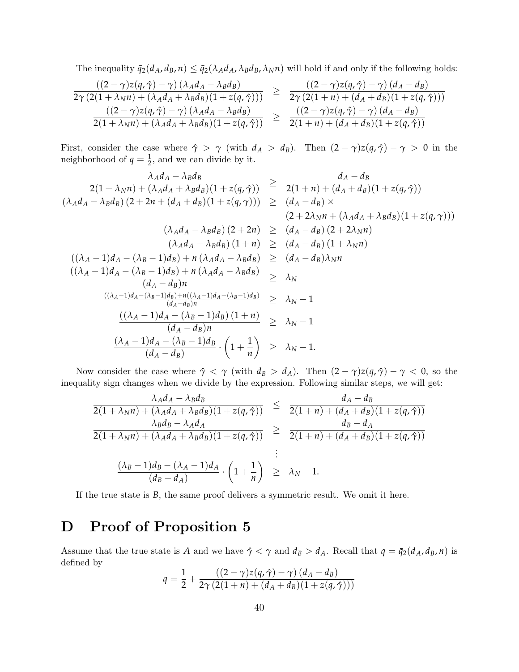The inequality  $\bar{q}_2(d_A, d_B, n) \leq \bar{q}_2(\lambda_A d_A, \lambda_B d_B, \lambda_N n)$  will hold if and only if the following holds:

$$
\frac{\left((2-\gamma)z(q,\hat{\gamma})-\gamma\right)\left(\lambda_{A}d_{A}-\lambda_{B}d_{B}\right)}{2\gamma\left(2(1+\lambda_{N}n)+\left(\lambda_{A}d_{A}+\lambda_{B}d_{B}\right)\right)\left(1+z(q,\hat{\gamma})\right)} \geq \frac{\left((2-\gamma)z(q,\hat{\gamma})-\gamma\right)\left(d_{A}-d_{B}\right)}{2\gamma\left(2(1+n)+\left(d_{A}+d_{B}\right)\right)\left(1+z(q,\hat{\gamma})\right)\right)}
$$
\n
$$
\frac{\left((2-\gamma)z(q,\hat{\gamma})-\gamma\right)\left(\lambda_{A}d_{A}-\lambda_{B}d_{B}\right)}{2(1+\lambda_{N}n)+\left(\lambda_{A}d_{A}+\lambda_{B}d_{B}\right)\left(1+z(q,\hat{\gamma})\right)} \geq \frac{\left((2-\gamma)z(q,\hat{\gamma})-\gamma\right)\left(d_{A}-d_{B}\right)}{2(1+n)+\left(d_{A}+d_{B}\right)\left(1+z(q,\hat{\gamma})\right)}
$$

First, consider the case where  $\hat{\gamma} > \gamma$  (with  $d_A > d_B$ ). Then  $(2 - \gamma)z(q, \hat{\gamma}) - \gamma > 0$  in the neighborhood of  $q = \frac{1}{2}$ , and we can divide by it.

$$
\frac{\lambda_A d_A - \lambda_B d_B}{2(1 + \lambda_N n) + (\lambda_A d_A + \lambda_B d_B)(1 + z(q, \hat{\gamma}))} \geq \frac{d_A - d_B}{2(1 + n) + (d_A + d_B)(1 + z(q, \hat{\gamma}))}
$$
\n
$$
(\lambda_A d_A - \lambda_B d_B) (2 + 2n + (d_A + d_B)(1 + z(q, \hat{\gamma}))) \geq (d_A - d_B) \times (2 + 2\lambda_N n + (\lambda_A d_A + \lambda_B d_B)(1 + z(q, \hat{\gamma})))
$$
\n
$$
(\lambda_A d_A - \lambda_B d_B) (2 + 2n) \geq (d_A - d_B) (2 + 2\lambda_N n)
$$
\n
$$
(\lambda_A d_A - \lambda_B d_B) (1 + n) \geq (d_A - d_B) (1 + \lambda_N n)
$$
\n
$$
((\lambda_A - 1)d_A - (\lambda_B - 1)d_B) + n (\lambda_A d_A - \lambda_B d_B) \geq (d_A - d_B)\lambda_N n
$$
\n
$$
\frac{((\lambda_A - 1)d_A - (\lambda_B - 1)d_B) + n (\lambda_A d_A - \lambda_B d_B)}{(d_A - d_B)n} \geq \lambda_N
$$
\n
$$
\frac{((\lambda_A - 1)d_A - (\lambda_B - 1)d_B) + n(\lambda_A d_A - \lambda_B d_B)}{(d_A - d_B)n} \geq \lambda_N - 1
$$
\n
$$
\frac{((\lambda_A - 1)d_A - (\lambda_B - 1)d_B)(1 + n)}{(d_A - d_B)n} \geq \lambda_N - 1
$$
\n
$$
\frac{(\lambda_A - 1)d_A - (\lambda_B - 1)d_B}{(d_A - d_B)n} \cdot (1 + \frac{1}{n}) \geq \lambda_N - 1.
$$

Now consider the case where  $\hat{\gamma} < \gamma$  (with  $d_B > d_A$ ). Then  $(2 - \gamma)z(q, \hat{\gamma}) - \gamma < 0$ , so the inequality sign changes when we divide by the expression. Following similar steps, we will get:

$$
\frac{\lambda_A d_A - \lambda_B d_B}{2(1 + \lambda_N n) + (\lambda_A d_A + \lambda_B d_B)(1 + z(q, \hat{\gamma}))} \leq \frac{d_A - d_B}{2(1 + n) + (d_A + d_B)(1 + z(q, \hat{\gamma}))}
$$
\n
$$
\frac{\lambda_B d_B - \lambda_A d_A}{2(1 + \lambda_N n) + (\lambda_A d_A + \lambda_B d_B)(1 + z(q, \hat{\gamma}))} \geq \frac{d_B - d_A}{2(1 + n) + (d_A + d_B)(1 + z(q, \hat{\gamma}))}
$$
\n
$$
\vdots
$$
\n
$$
\frac{(\lambda_B - 1)d_B - (\lambda_A - 1)d_A}{(d_B - d_A)} \cdot \left(1 + \frac{1}{n}\right) \geq \lambda_N - 1.
$$

If the true state is *B*, the same proof delivers a symmetric result. We omit it here.

## D Proof of Proposition [5](#page-13-1)

Assume that the true state is *A* and we have  $\hat{\gamma} < \gamma$  and  $d_B > d_A$ . Recall that  $q = \bar{q}_2(d_A, d_B, n)$  is defined by

$$
q = \frac{1}{2} + \frac{((2-\gamma)z(q,\hat{\gamma}) - \gamma)(d_A - d_B)}{2\gamma(2(1+n) + (d_A + d_B)(1 + z(q,\hat{\gamma})))}
$$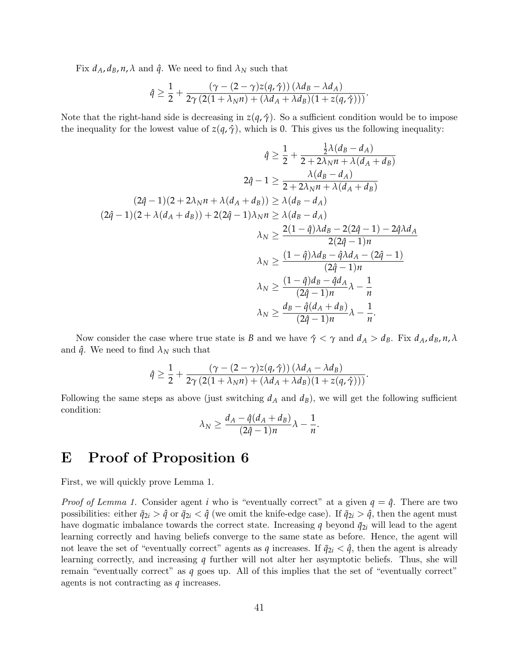Fix  $d_A, d_B, n, \lambda$  and  $\hat{q}$ . We need to find  $\lambda_N$  such that

$$
\hat{q} \geq \frac{1}{2} + \frac{(\gamma - (2 - \gamma)z(q, \hat{\gamma}))(\lambda d_B - \lambda d_A)}{2\gamma (2(1 + \lambda_N n) + (\lambda d_A + \lambda d_B)(1 + z(q, \hat{\gamma})))}.
$$

Note that the right-hand side is decreasing in  $z(q, \hat{\gamma})$ . So a sufficient condition would be to impose the inequality for the lowest value of  $z(q, \hat{\gamma})$ , which is 0. This gives us the following inequality:

$$
\hat{q} \geq \frac{1}{2} + \frac{\frac{1}{2}\lambda(d_B - d_A)}{2 + 2\lambda_N n + \lambda(d_A + d_B)}
$$
  
\n
$$
2\hat{q} - 1 \geq \frac{\lambda(d_B - d_A)}{2 + 2\lambda_N n + \lambda(d_A + d_B)}
$$
  
\n
$$
(2\hat{q} - 1)(2 + 2\lambda_N n + \lambda(d_A + d_B)) \geq \lambda(d_B - d_A)
$$
  
\n
$$
(2\hat{q} - 1)(2 + \lambda(d_A + d_B)) + 2(2\hat{q} - 1)\lambda_N n \geq \lambda(d_B - d_A)
$$
  
\n
$$
\lambda_N \geq \frac{2(1 - \hat{q})\lambda d_B - 2(2\hat{q} - 1) - 2\hat{q}\lambda d_A}{2(2\hat{q} - 1)n}
$$
  
\n
$$
\lambda_N \geq \frac{(1 - \hat{q})\lambda d_B - \hat{q}\lambda d_A - (2\hat{q} - 1)}{(2\hat{q} - 1)n}
$$
  
\n
$$
\lambda_N \geq \frac{(1 - \hat{q})d_B - \hat{q}d_A}{(2\hat{q} - 1)n}\lambda - \frac{1}{n}
$$
  
\n
$$
\lambda_N \geq \frac{d_B - \hat{q}(d_A + d_B)}{(2\hat{q} - 1)n}\lambda - \frac{1}{n}.
$$

Now consider the case where true state is *B* and we have  $\hat{\gamma} < \gamma$  and  $d_A > d_B$ . Fix  $d_A, d_B, n, \lambda$ and  $\hat{q}$ . We need to find  $\lambda_N$  such that

$$
\hat{q} \geq \frac{1}{2} + \frac{(\gamma - (2 - \gamma)z(q, \hat{\gamma}))(\lambda d_A - \lambda d_B)}{2\gamma (2(1 + \lambda_N n) + (\lambda d_A + \lambda d_B)(1 + z(q, \hat{\gamma})))}.
$$

Following the same steps as above (just switching  $d_A$  and  $d_B$ ), we will get the following sufficient condition:

$$
\lambda_N \geq \frac{d_A - \widehat{q}(d_A + d_B)}{(2\widehat{q} - 1)n} \lambda - \frac{1}{n}.
$$

### E Proof of Proposition [6](#page-15-2)

First, we will quickly prove Lemma [1.](#page-15-1)

*Proof of Lemma [1.](#page-15-1)* Consider agent *i* who is "eventually correct" at a given  $q = \hat{q}$ . There are two possibilities: either  $\bar{q}_{2i} > \hat{q}$  or  $\bar{q}_{2i} < \hat{q}$  (we omit the knife-edge case). If  $\bar{q}_{2i} > \hat{q}$ , then the agent must have dogmatic imbalance towards the correct state. Increasing  $q$  beyond  $\bar{q}_{2i}$  will lead to the agent learning correctly and having beliefs converge to the same state as before. Hence, the agent will not leave the set of "eventually correct" agents as *q* increases. If  $\bar{q}_{2i} < \hat{q}$ , then the agent is already learning correctly, and increasing *q* further will not alter her asymptotic beliefs. Thus, she will remain "eventually correct" as *q* goes up. All of this implies that the set of "eventually correct" agents is not contracting as *q* increases.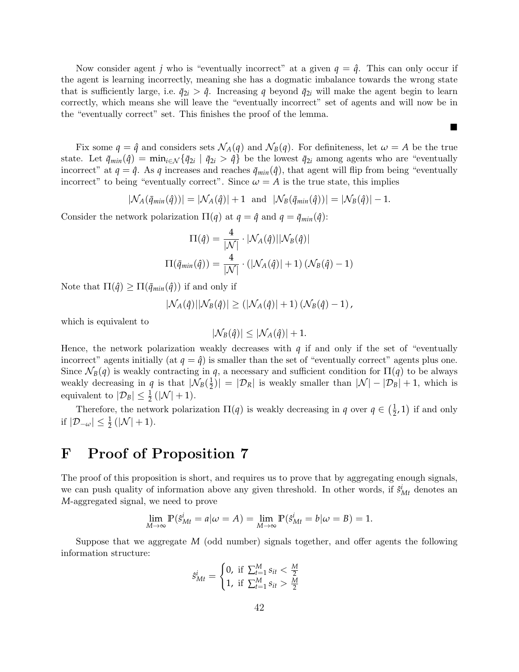Now consider agent *j* who is "eventually incorrect" at a given  $q = \hat{q}$ . This can only occur if the agent is learning incorrectly, meaning she has a dogmatic imbalance towards the wrong state that is sufficiently large, i.e.  $\bar{q}_{2i} > \hat{q}$ . Increasing q beyond  $\bar{q}_{2i}$  will make the agent begin to learn correctly, which means she will leave the "eventually incorrect" set of agents and will now be in the "eventually correct" set. This finishes the proof of the lemma.

 $\blacksquare$ 

Fix some  $q = \hat{q}$  and considers sets  $\mathcal{N}_A(q)$  and  $\mathcal{N}_B(q)$ . For definiteness, let  $\omega = A$  be the true state. Let  $\bar{q}_{min}(\hat{q}) = \min_{i \in \mathcal{N}} \{\bar{q}_{2i} \mid \bar{q}_{2i} > \hat{q}\}\$  be the lowest  $\bar{q}_{2i}$  among agents who are "eventually incorrect" at  $q = \hat{q}$ . As *q* increases and reaches  $\bar{q}_{min}(\hat{q})$ , that agent will flip from being "eventually incorrect" to being "eventually correct". Since  $\omega = A$  is the true state, this implies

$$
|\mathcal{N}_A(\bar{q}_{min}(\hat{q}))| = |\mathcal{N}_A(\hat{q})| + 1 \text{ and } |\mathcal{N}_B(\bar{q}_{min}(\hat{q}))| = |\mathcal{N}_B(\hat{q})| - 1.
$$

Consider the network polarization  $\Pi(q)$  at  $q = \hat{q}$  and  $q = \bar{q}_{min}(\hat{q})$ :

$$
\Pi(\hat{q}) = \frac{4}{|\mathcal{N}|} \cdot |\mathcal{N}_A(\hat{q})| |\mathcal{N}_B(\hat{q})|
$$

$$
\Pi(\bar{q}_{min}(\hat{q})) = \frac{4}{|\mathcal{N}|} \cdot (|\mathcal{N}_A(\hat{q})| + 1) (\mathcal{N}_B(\hat{q}) - 1)
$$

Note that  $\Pi(\hat{q}) \geq \Pi(\bar{q}_{min}(\hat{q}))$  if and only if

$$
|\mathcal{N}_A(\hat{q})| |\mathcal{N}_B(\hat{q})| \geq (|\mathcal{N}_A(\hat{q})| + 1) \left(\mathcal{N}_B(\hat{q}) - 1\right),
$$

which is equivalent to

$$
|\mathcal{N}_B(\hat{q})| \leq |\mathcal{N}_A(\hat{q})| + 1.
$$

Hence, the network polarization weakly decreases with  $q$  if and only if the set of "eventually incorrect" agents initially (at  $q = \hat{q}$ ) is smaller than the set of "eventually correct" agents plus one. Since  $\mathcal{N}_B(q)$  is weakly contracting in *q*, a necessary and sufficient condition for  $\Pi(q)$  to be always weakly decreasing in *q* is that  $|\mathcal{N}_B(\frac{1}{2})|$  $|\mathcal{D}_R| = |\mathcal{D}_R|$  is weakly smaller than  $|\mathcal{N}| - |\mathcal{D}_B| + 1$ , which is equivalent to  $|\mathcal{D}_B| \leq \frac{1}{2} (|\mathcal{N}| + 1)$ .

Therefore, the network polarization  $\Pi(q)$  is weakly decreasing in *q* over  $q \in \left(\frac{1}{2}\right)$  $(\frac{1}{2}, 1)$  if and only if  $|\mathcal{D}_{-\omega}| \leq \frac{1}{2} (|\mathcal{N}| + 1).$ 

## F Proof of Proposition [7](#page-16-0)

The proof of this proposition is short, and requires us to prove that by aggregating enough signals, we can push quality of information above any given threshold. In other words, if  $\hat{s}^i_{Mt}$  denotes an *M*-aggregated signal, we need to prove

$$
\lim_{M \to \infty} \mathbb{P}(\hat{s}_{Mt}^i = a | \omega = A) = \lim_{M \to \infty} \mathbb{P}(\hat{s}_{Mt}^i = b | \omega = B) = 1.
$$

Suppose that we aggregate *M* (odd number) signals together, and offer agents the following information structure:

$$
\hat{s}_{Mt}^i = \begin{cases} 0, & \text{if } \sum_{t=1}^M s_{it} < \frac{M}{2} \\ 1, & \text{if } \sum_{t=1}^M s_{it} > \frac{M}{2} \end{cases}
$$